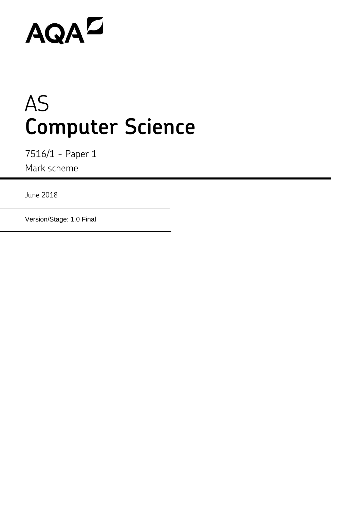# AQAZ

## AS **Computer Science**

7516/1 - Paper 1 Mark scheme

June 2018

Version/Stage: 1.0 Final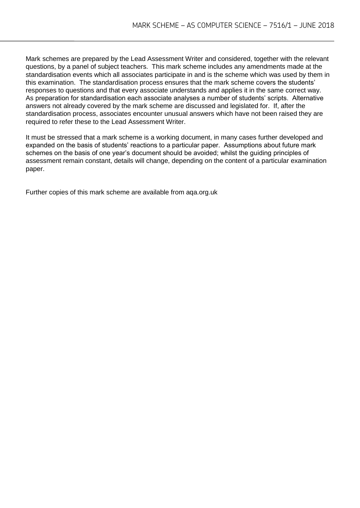Mark schemes are prepared by the Lead Assessment Writer and considered, together with the relevant questions, by a panel of subject teachers. This mark scheme includes any amendments made at the standardisation events which all associates participate in and is the scheme which was used by them in this examination. The standardisation process ensures that the mark scheme covers the students' responses to questions and that every associate understands and applies it in the same correct way. As preparation for standardisation each associate analyses a number of students' scripts. Alternative answers not already covered by the mark scheme are discussed and legislated for. If, after the standardisation process, associates encounter unusual answers which have not been raised they are required to refer these to the Lead Assessment Writer.

It must be stressed that a mark scheme is a working document, in many cases further developed and expanded on the basis of students' reactions to a particular paper. Assumptions about future mark schemes on the basis of one year's document should be avoided; whilst the guiding principles of assessment remain constant, details will change, depending on the content of a particular examination paper.

Further copies of this mark scheme are available from aqa.org.uk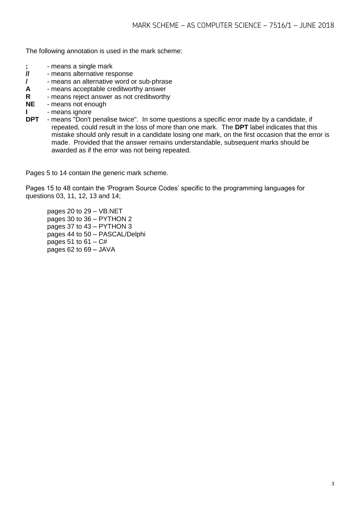The following annotation is used in the mark scheme:

- **;** means a single mark<br>**//** means alternative res
- **//** means alternative response
- **/**  means an alternative word or sub-phrase
- **A** means acceptable creditworthy answer
- **R** means reject answer as not creditworthy
- **NE** means not enough
- **I** means ignore
- **DPT** means "Don't penalise twice". In some questions a specific error made by a candidate, if repeated, could result in the loss of more than one mark. The **DPT** label indicates that this mistake should only result in a candidate losing one mark, on the first occasion that the error is made. Provided that the answer remains understandable, subsequent marks should be awarded as if the error was not being repeated.

Pages 5 to 14 contain the generic mark scheme.

Pages 15 to 48 contain the 'Program Source Codes' specific to the programming languages for questions 03, 11, 12, 13 and 14;

pages 20 to 29 – VB.NET pages 30 to 36 – PYTHON 2 pages 37 to 43 – PYTHON 3 pages 44 to 50 – PASCAL/Delphi pages 51 to  $61 - C#$ pages 62 to 69 – JAVA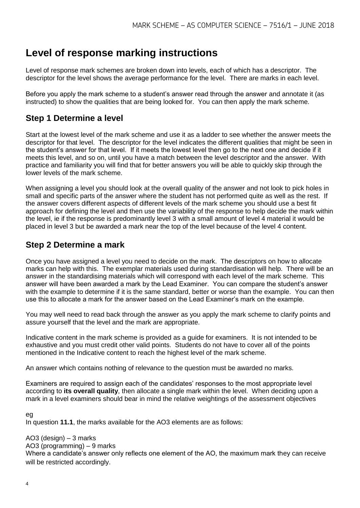### **Level of response marking instructions**

Level of response mark schemes are broken down into levels, each of which has a descriptor. The descriptor for the level shows the average performance for the level. There are marks in each level.

Before you apply the mark scheme to a student's answer read through the answer and annotate it (as instructed) to show the qualities that are being looked for. You can then apply the mark scheme.

#### **Step 1 Determine a level**

Start at the lowest level of the mark scheme and use it as a ladder to see whether the answer meets the descriptor for that level. The descriptor for the level indicates the different qualities that might be seen in the student's answer for that level. If it meets the lowest level then go to the next one and decide if it meets this level, and so on, until you have a match between the level descriptor and the answer. With practice and familiarity you will find that for better answers you will be able to quickly skip through the lower levels of the mark scheme.

When assigning a level you should look at the overall quality of the answer and not look to pick holes in small and specific parts of the answer where the student has not performed quite as well as the rest. If the answer covers different aspects of different levels of the mark scheme you should use a best fit approach for defining the level and then use the variability of the response to help decide the mark within the level, ie if the response is predominantly level 3 with a small amount of level 4 material it would be placed in level 3 but be awarded a mark near the top of the level because of the level 4 content.

#### **Step 2 Determine a mark**

Once you have assigned a level you need to decide on the mark. The descriptors on how to allocate marks can help with this. The exemplar materials used during standardisation will help. There will be an answer in the standardising materials which will correspond with each level of the mark scheme. This answer will have been awarded a mark by the Lead Examiner. You can compare the student's answer with the example to determine if it is the same standard, better or worse than the example. You can then use this to allocate a mark for the answer based on the Lead Examiner's mark on the example.

You may well need to read back through the answer as you apply the mark scheme to clarify points and assure yourself that the level and the mark are appropriate.

Indicative content in the mark scheme is provided as a guide for examiners. It is not intended to be exhaustive and you must credit other valid points. Students do not have to cover all of the points mentioned in the Indicative content to reach the highest level of the mark scheme.

An answer which contains nothing of relevance to the question must be awarded no marks.

Examiners are required to assign each of the candidates' responses to the most appropriate level according to **its overall quality**, then allocate a single mark within the level. When deciding upon a mark in a level examiners should bear in mind the relative weightings of the assessment objectives

#### $e<sub>0</sub>$

In question **11.1**, the marks available for the AO3 elements are as follows:

#### AO3 (design) – 3 marks

AO3 (programming) – 9 marks

Where a candidate's answer only reflects one element of the AO, the maximum mark they can receive will be restricted accordingly.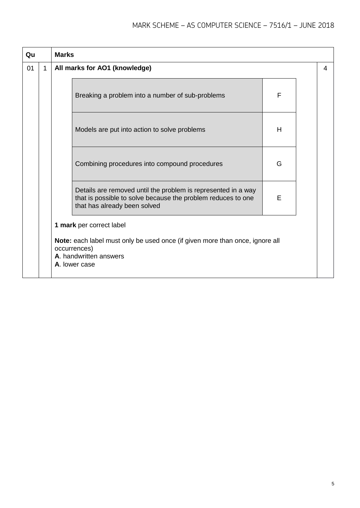| Qu |             | <b>Marks</b> |                                                                                                                                                               |   |  |   |  |  |  |
|----|-------------|--------------|---------------------------------------------------------------------------------------------------------------------------------------------------------------|---|--|---|--|--|--|
| 01 | $\mathbf 1$ |              | All marks for AO1 (knowledge)                                                                                                                                 |   |  | 4 |  |  |  |
|    |             |              | Breaking a problem into a number of sub-problems                                                                                                              | F |  |   |  |  |  |
|    |             |              | Models are put into action to solve problems                                                                                                                  | Н |  |   |  |  |  |
|    |             |              | Combining procedures into compound procedures                                                                                                                 | G |  |   |  |  |  |
|    |             |              | Details are removed until the problem is represented in a way<br>that is possible to solve because the problem reduces to one<br>that has already been solved | E |  |   |  |  |  |
|    |             |              | 1 mark per correct label                                                                                                                                      |   |  |   |  |  |  |
|    |             |              | Note: each label must only be used once (if given more than once, ignore all<br>occurrences)<br>A. handwritten answers<br>A. lower case                       |   |  |   |  |  |  |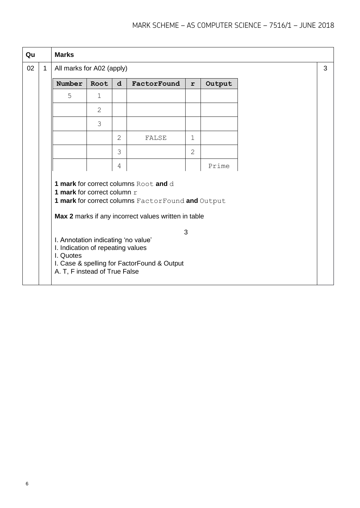| Qu |              | <b>Marks</b>                                                                                                                                            |      |             |                                                                                                                                                                                                   |                |        |  |   |
|----|--------------|---------------------------------------------------------------------------------------------------------------------------------------------------------|------|-------------|---------------------------------------------------------------------------------------------------------------------------------------------------------------------------------------------------|----------------|--------|--|---|
| 02 | $\mathbf{1}$ | All marks for A02 (apply)                                                                                                                               |      |             |                                                                                                                                                                                                   |                |        |  | 3 |
|    |              | Number                                                                                                                                                  | Root | $\mathbf d$ | FactorFound                                                                                                                                                                                       | $\mathbf r$    | Output |  |   |
|    |              | 5                                                                                                                                                       | 1    |             |                                                                                                                                                                                                   |                |        |  |   |
|    |              |                                                                                                                                                         | 2    |             |                                                                                                                                                                                                   |                |        |  |   |
|    |              |                                                                                                                                                         | 3    |             |                                                                                                                                                                                                   |                |        |  |   |
|    |              |                                                                                                                                                         |      | 2           | FALSE                                                                                                                                                                                             | $\mathbf 1$    |        |  |   |
|    |              |                                                                                                                                                         |      | 3           |                                                                                                                                                                                                   | $\overline{2}$ |        |  |   |
|    |              |                                                                                                                                                         |      | 4           |                                                                                                                                                                                                   |                | Prime  |  |   |
|    |              | 1 mark for correct column $r$<br>I. Annotation indicating 'no value'<br>I. Indication of repeating values<br>I. Quotes<br>A. T, F instead of True False |      |             | 1 mark for correct columns Root and d<br>1 mark for correct columns FactorFound and Output<br>Max 2 marks if any incorrect values written in table<br>I. Case & spelling for FactorFound & Output | 3              |        |  |   |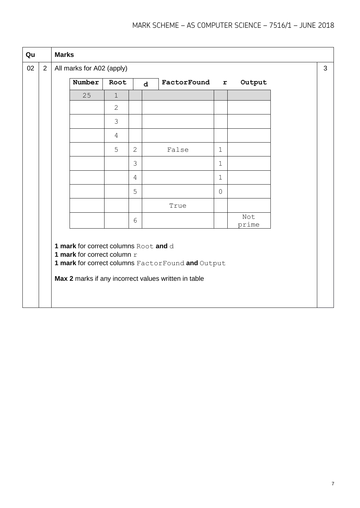| Qu |                | <b>Marks</b> |                                                                      |                |                |              |                                                                                                           |                |              |  |   |
|----|----------------|--------------|----------------------------------------------------------------------|----------------|----------------|--------------|-----------------------------------------------------------------------------------------------------------|----------------|--------------|--|---|
| 02 | $\overline{2}$ |              | All marks for A02 (apply)                                            |                |                |              |                                                                                                           |                |              |  | 3 |
|    |                |              | Number                                                               | Root           |                | $\mathbf{d}$ | FactorFound                                                                                               | $\mathbf{r}$   | Output       |  |   |
|    |                |              | 25                                                                   | $\mathbf 1$    |                |              |                                                                                                           |                |              |  |   |
|    |                |              |                                                                      | $\overline{2}$ |                |              |                                                                                                           |                |              |  |   |
|    |                |              |                                                                      | 3              |                |              |                                                                                                           |                |              |  |   |
|    |                |              |                                                                      | $\overline{4}$ |                |              |                                                                                                           |                |              |  |   |
|    |                |              |                                                                      | 5              | $\overline{2}$ |              | False                                                                                                     | $\mathbf 1$    |              |  |   |
|    |                |              |                                                                      |                | 3              |              |                                                                                                           | $\mathbf 1$    |              |  |   |
|    |                |              |                                                                      |                | 4              |              |                                                                                                           | $\mathbf 1$    |              |  |   |
|    |                |              |                                                                      |                | 5              |              |                                                                                                           | $\overline{0}$ |              |  |   |
|    |                |              |                                                                      |                |                |              | True                                                                                                      |                |              |  |   |
|    |                |              |                                                                      |                | 6              |              |                                                                                                           |                | Not<br>prime |  |   |
|    |                |              | 1 mark for correct columns Root and d<br>1 mark for correct column r |                |                |              | 1 mark for correct columns FactorFound and Output<br>Max 2 marks if any incorrect values written in table |                |              |  |   |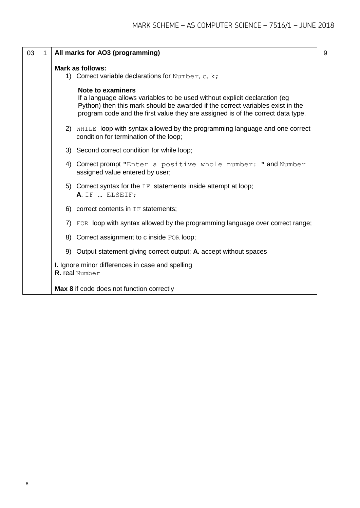| 03 | 1 | All marks for AO3 (programming)                                                                                                                                                                                                                                              |
|----|---|------------------------------------------------------------------------------------------------------------------------------------------------------------------------------------------------------------------------------------------------------------------------------|
|    |   | <b>Mark as follows:</b><br>1) Correct variable declarations for Number, c, $k$ ;                                                                                                                                                                                             |
|    |   | <b>Note to examiners</b><br>If a language allows variables to be used without explicit declaration (eg)<br>Python) then this mark should be awarded if the correct variables exist in the<br>program code and the first value they are assigned is of the correct data type. |
|    |   | 2) WHILE loop with syntax allowed by the programming language and one correct<br>condition for termination of the loop;                                                                                                                                                      |
|    |   | 3) Second correct condition for while loop;                                                                                                                                                                                                                                  |
|    |   | 4) Correct prompt "Enter a positive whole number: " and Number<br>assigned value entered by user;                                                                                                                                                                            |
|    |   | 5) Correct syntax for the $IF$ statements inside attempt at loop;<br>A. IF  ELSEIF;                                                                                                                                                                                          |
|    |   | 6) correct contents in $IF$ statements;                                                                                                                                                                                                                                      |
|    |   | 7) FOR loop with syntax allowed by the programming language over correct range;                                                                                                                                                                                              |
|    |   | 8) Correct assignment to c inside FOR loop;                                                                                                                                                                                                                                  |
|    |   | 9) Output statement giving correct output; A. accept without spaces                                                                                                                                                                                                          |
|    |   | I. Ignore minor differences in case and spelling<br><b>R.</b> real Number                                                                                                                                                                                                    |
|    |   | Max 8 if code does not function correctly                                                                                                                                                                                                                                    |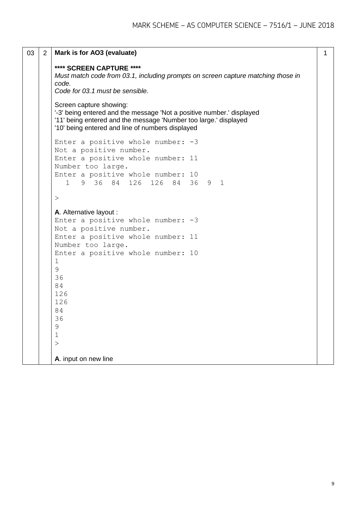```
03 2 Mark is for AO3 (evaluate)
       **** SCREEN CAPTURE ****
       Must match code from 03.1, including prompts on screen capture matching those in 
       code.
       Code for 03.1 must be sensible.
       Screen capture showing:
       '-3' being entered and the message 'Not a positive number.' displayed
       '11' being entered and the message 'Number too large.' displayed
       '10' being entered and line of numbers displayed
       Enter a positive whole number: -3
       Not a positive number.
       Enter a positive whole number: 11
       Number too large.
       Enter a positive whole number: 10
          1 9 36 84 126 126 84 36 9 1
       \geqA. Alternative layout :
       Enter a positive whole number: -3
       Not a positive number.
       Enter a positive whole number: 11
       Number too large.
       Enter a positive whole number: 10
       1
       9
       36
       84
       126
       126
       84
       36
       9
       1
       \geqA. input on new line
                                                                                  1
```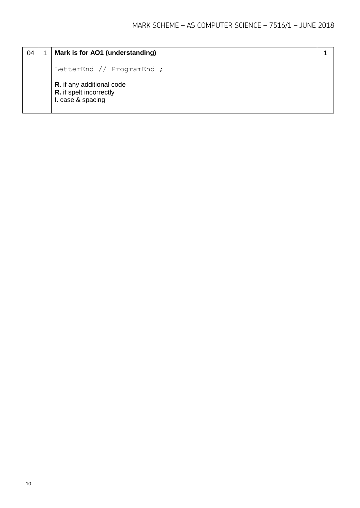| 04 | Mark is for AO1 (understanding)                                                         |  |
|----|-----------------------------------------------------------------------------------------|--|
|    | LetterEnd // ProgramEnd ;                                                               |  |
|    | <b>R.</b> if any additional code<br><b>R.</b> if spelt incorrectly<br>I. case & spacing |  |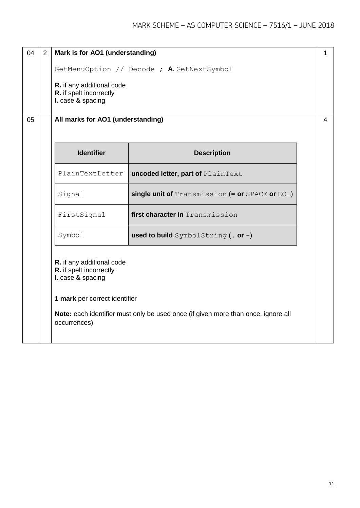| 04 | 2 | Mark is for AO1 (understanding)                                                                                                                                                                                 |                                                 | 1 |  |  |  |  |  |
|----|---|-----------------------------------------------------------------------------------------------------------------------------------------------------------------------------------------------------------------|-------------------------------------------------|---|--|--|--|--|--|
|    |   |                                                                                                                                                                                                                 | GetMenuOption // Decode ; A. GetNextSymbol      |   |  |  |  |  |  |
|    |   | R. if any additional code<br>R. if spelt incorrectly<br>I. case & spacing                                                                                                                                       |                                                 |   |  |  |  |  |  |
| 05 |   | All marks for AO1 (understanding)                                                                                                                                                                               |                                                 |   |  |  |  |  |  |
|    |   | <b>Identifier</b>                                                                                                                                                                                               | <b>Description</b>                              |   |  |  |  |  |  |
|    |   | PlainTextLetter                                                                                                                                                                                                 | uncoded letter, part of PlainText               |   |  |  |  |  |  |
|    |   | Signal                                                                                                                                                                                                          | single unit of Transmission (= or SPACE or EOL) |   |  |  |  |  |  |
|    |   | FirstSignal                                                                                                                                                                                                     | first character in Transmission                 |   |  |  |  |  |  |
|    |   | Symbol                                                                                                                                                                                                          | used to build SymbolString $( . or - )$         |   |  |  |  |  |  |
|    |   | R. if any additional code<br>R. if spelt incorrectly<br>I. case & spacing<br>1 mark per correct identifier<br>Note: each identifier must only be used once (if given more than once, ignore all<br>occurrences) |                                                 |   |  |  |  |  |  |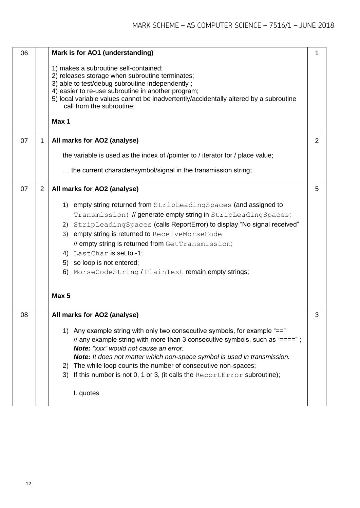| 06 |                | Mark is for AO1 (understanding)                                                                                                                                                                                                                                                                                                                                                                                                                        | 1 |
|----|----------------|--------------------------------------------------------------------------------------------------------------------------------------------------------------------------------------------------------------------------------------------------------------------------------------------------------------------------------------------------------------------------------------------------------------------------------------------------------|---|
|    |                | 1) makes a subroutine self-contained;<br>2) releases storage when subroutine terminates;<br>3) able to test/debug subroutine independently;<br>4) easier to re-use subroutine in another program;<br>5) local variable values cannot be inadvertently/accidentally altered by a subroutine<br>call from the subroutine;                                                                                                                                |   |
|    |                | Max 1                                                                                                                                                                                                                                                                                                                                                                                                                                                  |   |
| 07 | $\mathbf{1}$   | All marks for AO2 (analyse)                                                                                                                                                                                                                                                                                                                                                                                                                            | 2 |
|    |                | the variable is used as the index of /pointer to / iterator for / place value;                                                                                                                                                                                                                                                                                                                                                                         |   |
|    |                | the current character/symbol/signal in the transmission string;                                                                                                                                                                                                                                                                                                                                                                                        |   |
| 07 | $\overline{2}$ | All marks for AO2 (analyse)                                                                                                                                                                                                                                                                                                                                                                                                                            | 5 |
|    |                | 1) empty string returned from StripLeadingSpaces (and assigned to<br>Transmission) // generate empty string in StripLeadingSpaces;<br>StripLeadingSpaces (calls ReportError) to display "No signal received"<br>2)<br>3) empty string is returned to ReceiveMorseCode<br>// empty string is returned from GetTransmission;<br>4) LastChar is set to -1;<br>5) so loop is not entered;<br>6) MorseCodeString / PlainText remain empty strings;<br>Max 5 |   |
| 08 |                | All marks for AO2 (analyse)                                                                                                                                                                                                                                                                                                                                                                                                                            |   |
|    |                | 1) Any example string with only two consecutive symbols, for example "=="<br>// any example string with more than 3 consecutive symbols, such as "====";<br>Note: "xxx" would not cause an error.<br>Note: It does not matter which non-space symbol is used in transmission.<br>2) The while loop counts the number of consecutive non-spaces;<br>If this number is not 0, 1 or 3, (it calls the ReportError subroutine);<br>3)<br>I. quotes          |   |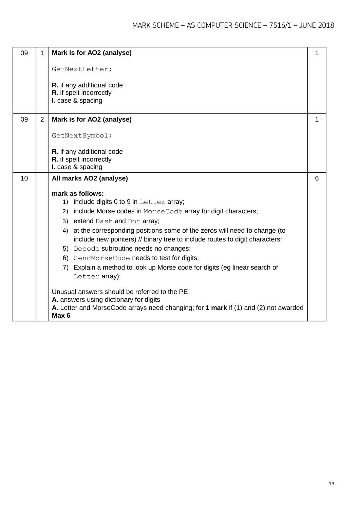| 09 | 1              | Mark is for AO2 (analyse)                                                                               | 1 |
|----|----------------|---------------------------------------------------------------------------------------------------------|---|
|    |                | GetNextLetter;                                                                                          |   |
|    |                | R. if any additional code                                                                               |   |
|    |                | R. if spelt incorrectly                                                                                 |   |
|    |                | I. case & spacing                                                                                       |   |
| 09 | $\overline{2}$ | Mark is for AO2 (analyse)                                                                               | 1 |
|    |                |                                                                                                         |   |
|    |                | GetNextSymbol;                                                                                          |   |
|    |                |                                                                                                         |   |
|    |                | R. if any additional code<br>R. if spelt incorrectly                                                    |   |
|    |                | I. case & spacing                                                                                       |   |
| 10 |                | All marks AO2 (analyse)                                                                                 | 6 |
|    |                |                                                                                                         |   |
|    |                | mark as follows:                                                                                        |   |
|    |                | include digits 0 to 9 in Letter array;<br>1)                                                            |   |
|    |                | 2) include Morse codes in MorseCode array for digit characters;                                         |   |
|    |                | 3) extend Dash and Dot array;                                                                           |   |
|    |                | 4) at the corresponding positions some of the zeros will need to change (to                             |   |
|    |                | include new pointers) // binary tree to include routes to digit characters;                             |   |
|    |                | 5) Decode subroutine needs no changes;                                                                  |   |
|    |                | 6) SendMorseCode needs to test for digits;                                                              |   |
|    |                | 7) Explain a method to look up Morse code for digits (eg linear search of<br>Letter array);             |   |
|    |                |                                                                                                         |   |
|    |                | Unusual answers should be referred to the PE                                                            |   |
|    |                | A. answers using dictionary for digits                                                                  |   |
|    |                | A. Letter and MorseCode arrays need changing; for 1 mark if (1) and (2) not awarded<br>Max <sub>6</sub> |   |
|    |                |                                                                                                         |   |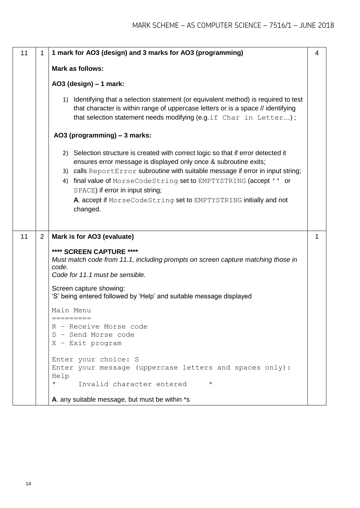| 11 | 1              | 1 mark for AO3 (design) and 3 marks for AO3 (programming)                                                                                                                                                                                                                                                                                                                                                                            | 4 |  |  |  |
|----|----------------|--------------------------------------------------------------------------------------------------------------------------------------------------------------------------------------------------------------------------------------------------------------------------------------------------------------------------------------------------------------------------------------------------------------------------------------|---|--|--|--|
|    |                | Mark as follows:                                                                                                                                                                                                                                                                                                                                                                                                                     |   |  |  |  |
|    |                | AO3 (design) - 1 mark:                                                                                                                                                                                                                                                                                                                                                                                                               |   |  |  |  |
|    |                | 1) Identifying that a selection statement (or equivalent method) is required to test<br>that character is within range of uppercase letters or is a space // identifying<br>that selection statement needs modifying (e.g.if Char in Letter);                                                                                                                                                                                        |   |  |  |  |
|    |                | AO3 (programming) - 3 marks:                                                                                                                                                                                                                                                                                                                                                                                                         |   |  |  |  |
|    |                | 2) Selection structure is created with correct logic so that if error detected it<br>ensures error message is displayed only once & subroutine exits;<br>3) calls ReportError subroutine with suitable message if error in input string;<br>4) final value of MorseCodeString set to EMPTYSTRING (accept ' ' or<br>SPACE) if error in input string;<br>A. accept if MorseCodeString set to EMPTYSTRING initially and not<br>changed. |   |  |  |  |
| 11 | $\overline{2}$ | Mark is for AO3 (evaluate)                                                                                                                                                                                                                                                                                                                                                                                                           | 1 |  |  |  |
|    |                | **** SCREEN CAPTURE ****<br>Must match code from 11.1, including prompts on screen capture matching those in<br>code.<br>Code for 11.1 must be sensible.<br>Screen capture showing:<br>'S' being entered followed by 'Help' and suitable message displayed                                                                                                                                                                           |   |  |  |  |
|    |                | Main Menu<br>=========                                                                                                                                                                                                                                                                                                                                                                                                               |   |  |  |  |
|    |                | R - Receive Morse code<br>S - Send Morse code<br>$X$ - Exit program                                                                                                                                                                                                                                                                                                                                                                  |   |  |  |  |
|    |                | Enter your choice: S<br>Enter your message (uppercase letters and spaces only) :<br>Help                                                                                                                                                                                                                                                                                                                                             |   |  |  |  |
|    |                | $^\star$<br>Invalid character entered<br>$^\star$<br>A. any suitable message, but must be within *s                                                                                                                                                                                                                                                                                                                                  |   |  |  |  |
|    |                |                                                                                                                                                                                                                                                                                                                                                                                                                                      |   |  |  |  |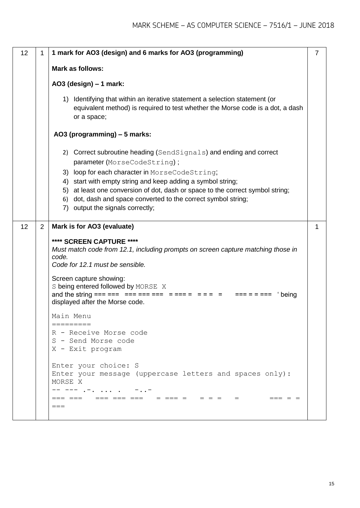| 12 | 1              | 1 mark for AO3 (design) and 6 marks for AO3 (programming)                                                                                                                                                                                                                                                                                                                        | $\overline{7}$ |  |  |  |  |
|----|----------------|----------------------------------------------------------------------------------------------------------------------------------------------------------------------------------------------------------------------------------------------------------------------------------------------------------------------------------------------------------------------------------|----------------|--|--|--|--|
|    |                | Mark as follows:                                                                                                                                                                                                                                                                                                                                                                 |                |  |  |  |  |
|    |                | AO3 (design) $-1$ mark:                                                                                                                                                                                                                                                                                                                                                          |                |  |  |  |  |
|    |                | 1) Identifying that within an iterative statement a selection statement (or<br>equivalent method) is required to test whether the Morse code is a dot, a dash<br>or a space;                                                                                                                                                                                                     |                |  |  |  |  |
|    |                | AO3 (programming) - 5 marks:                                                                                                                                                                                                                                                                                                                                                     |                |  |  |  |  |
|    |                | 2) Correct subroutine heading (SendSignals) and ending and correct<br>parameter (MorseCodeString);<br>3) loop for each character in MorseCodeString;<br>start with empty string and keep adding a symbol string;<br>4)<br>at least one conversion of dot, dash or space to the correct symbol string;<br>5)<br>dot, dash and space converted to the correct symbol string;<br>6) |                |  |  |  |  |
|    |                | 7) output the signals correctly;                                                                                                                                                                                                                                                                                                                                                 |                |  |  |  |  |
| 12 | $\overline{2}$ | Mark is for AO3 (evaluate)<br>**** SCREEN CAPTURE ****<br>Must match code from 12.1, including prompts on screen capture matching those in<br>code.<br>Code for 12.1 must be sensible.<br>Screen capture showing:<br>S being entered followed by MORSE X                                                                                                                         | $\mathbf{1}$   |  |  |  |  |
|    |                | being<br>displayed after the Morse code.                                                                                                                                                                                                                                                                                                                                         |                |  |  |  |  |
|    |                | Main Menu                                                                                                                                                                                                                                                                                                                                                                        |                |  |  |  |  |
|    |                | R - Receive Morse code<br>S - Send Morse code<br>X - Exit program                                                                                                                                                                                                                                                                                                                |                |  |  |  |  |
|    |                | Enter your choice: S<br>Enter your message (uppercase letters and spaces only):<br>MORSE X<br>-- --- .-.<br>_______________________________<br>$=$<br>=== = =<br>$===$                                                                                                                                                                                                           |                |  |  |  |  |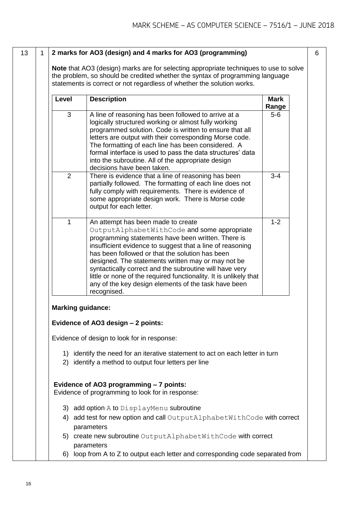#### 13 1 **2 marks for AO3 (design) and 4 marks for AO3 (programming)**

**Note** that AO3 (design) marks are for selecting appropriate techniques to use to solve the problem, so should be credited whether the syntax of programming language statements is correct or not regardless of whether the solution works.

| Level          | <b>Description</b>                                                                                                                                                                                                                                                                                                                                                                                                                                                                                                   | <b>Mark</b><br>Range |
|----------------|----------------------------------------------------------------------------------------------------------------------------------------------------------------------------------------------------------------------------------------------------------------------------------------------------------------------------------------------------------------------------------------------------------------------------------------------------------------------------------------------------------------------|----------------------|
| 3              | A line of reasoning has been followed to arrive at a<br>logically structured working or almost fully working<br>programmed solution. Code is written to ensure that all<br>letters are output with their corresponding Morse code.<br>The formatting of each line has been considered. A<br>formal interface is used to pass the data structures' data<br>into the subroutine. All of the appropriate design<br>decisions have been taken.                                                                           | $5-6$                |
| $\overline{2}$ | There is evidence that a line of reasoning has been<br>partially followed. The formatting of each line does not<br>fully comply with requirements. There is evidence of<br>some appropriate design work. There is Morse code<br>output for each letter.                                                                                                                                                                                                                                                              | $3 - 4$              |
| 1              | An attempt has been made to create<br>OutputAlphabetWithCode and some appropriate<br>programming statements have been written. There is<br>insufficient evidence to suggest that a line of reasoning<br>has been followed or that the solution has been<br>designed. The statements written may or may not be<br>syntactically correct and the subroutine will have very<br>little or none of the required functionality. It is unlikely that<br>any of the key design elements of the task have been<br>recognised. | $1 - 2$              |
|                | <b>Marking guidance:</b>                                                                                                                                                                                                                                                                                                                                                                                                                                                                                             |                      |
|                | Evidence of AO3 design - 2 points:                                                                                                                                                                                                                                                                                                                                                                                                                                                                                   |                      |
|                | Evidence of design to look for in response:                                                                                                                                                                                                                                                                                                                                                                                                                                                                          |                      |
|                | 1) identify the need for an iterative statement to act on each letter in turn<br>2) identify a method to output four letters per line                                                                                                                                                                                                                                                                                                                                                                                |                      |
|                | Evidence of AO3 programming - 7 points:<br>Evidence of programming to look for in response:                                                                                                                                                                                                                                                                                                                                                                                                                          |                      |
|                | 3) add option A to DisplayMenu subroutine                                                                                                                                                                                                                                                                                                                                                                                                                                                                            |                      |
|                | 4) add test for new option and call OutputAlphabetWithCode with correct<br>parameters                                                                                                                                                                                                                                                                                                                                                                                                                                |                      |
|                | 5) create new subroutine OutputAlphabetWithCode with correct<br>parameters                                                                                                                                                                                                                                                                                                                                                                                                                                           |                      |
|                | 6) loop from A to Z to output each letter and corresponding code separated from                                                                                                                                                                                                                                                                                                                                                                                                                                      |                      |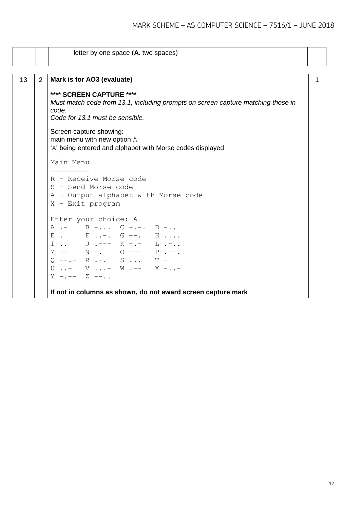|    |                | letter by one space (A. two spaces)                                                      |   |
|----|----------------|------------------------------------------------------------------------------------------|---|
|    |                |                                                                                          |   |
| 13 | $\overline{2}$ | Mark is for AO3 (evaluate)                                                               | 1 |
|    |                | **** SCREEN CAPTURE ****                                                                 |   |
|    |                | Must match code from 13.1, including prompts on screen capture matching those in         |   |
|    |                | code.<br>Code for 13.1 must be sensible.                                                 |   |
|    |                |                                                                                          |   |
|    |                | Screen capture showing:                                                                  |   |
|    |                | main menu with new option A<br>'A' being entered and alphabet with Morse codes displayed |   |
|    |                |                                                                                          |   |
|    |                | Main Menu                                                                                |   |
|    |                | =========<br>R - Receive Morse code                                                      |   |
|    |                | S - Send Morse code                                                                      |   |
|    |                | A - Output alphabet with Morse code                                                      |   |
|    |                | $X$ - Exit program                                                                       |   |
|    |                | Enter your choice: A                                                                     |   |
|    |                | A .- B - C -.-. D -                                                                      |   |
|    |                | E. F-. G --. H                                                                           |   |
|    |                |                                                                                          |   |
|    |                | $M$ -- $N$ -. 0 --- P .--.<br>$Q$ --.- R .-. S  T -                                      |   |
|    |                | $U \tI. - V \tI. - W \tI. - - W \tI. - - X \tI. - -$                                     |   |
|    |                | $Y - - - - Z - - \ldots$                                                                 |   |
|    |                |                                                                                          |   |
|    |                | If not in columns as shown, do not award screen capture mark                             |   |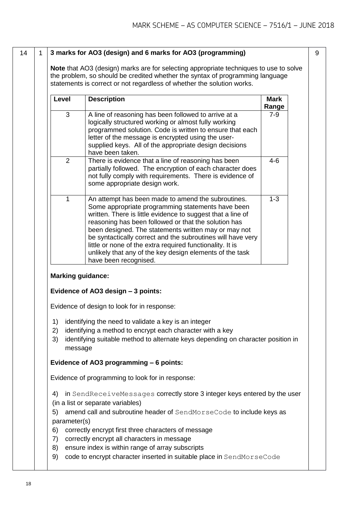#### 14 1 **3 marks for AO3 (design) and 6 marks for AO3 (programming)**

**Note** that AO3 (design) marks are for selecting appropriate techniques to use to solve the problem, so should be credited whether the syntax of programming language statements is correct or not regardless of whether the solution works.

| Level          | <b>Description</b>                                                                                                                                                                                                                                                                                                                                                                                                                                                                                      | Mark<br>Range |
|----------------|---------------------------------------------------------------------------------------------------------------------------------------------------------------------------------------------------------------------------------------------------------------------------------------------------------------------------------------------------------------------------------------------------------------------------------------------------------------------------------------------------------|---------------|
| 3              | A line of reasoning has been followed to arrive at a<br>logically structured working or almost fully working<br>programmed solution. Code is written to ensure that each<br>letter of the message is encrypted using the user-<br>supplied keys. All of the appropriate design decisions<br>have been taken.                                                                                                                                                                                            | $7-9$         |
| $\overline{2}$ | There is evidence that a line of reasoning has been<br>partially followed. The encryption of each character does<br>not fully comply with requirements. There is evidence of<br>some appropriate design work.                                                                                                                                                                                                                                                                                           | $4 - 6$       |
| 1              | An attempt has been made to amend the subroutines.<br>Some appropriate programming statements have been<br>written. There is little evidence to suggest that a line of<br>reasoning has been followed or that the solution has<br>been designed. The statements written may or may not<br>be syntactically correct and the subroutines will have very<br>little or none of the extra required functionality. It is<br>unlikely that any of the key design elements of the task<br>have been recognised. | $1 - 3$       |

#### **Marking guidance:**

#### **Evidence of AO3 design – 3 points:**

Evidence of design to look for in response:

- 1) identifying the need to validate a key is an integer
- 2) identifying a method to encrypt each character with a key
- 3) identifying suitable method to alternate keys depending on character position in message

#### **Evidence of AO3 programming – 6 points:**

Evidence of programming to look for in response:

- 4) in SendReceiveMessages correctly store 3 integer keys entered by the user
- (in a list or separate variables)
- 5) amend call and subroutine header of SendMorseCode to include keys as parameter(s)
- 6) correctly encrypt first three characters of message
- 7) correctly encrypt all characters in message
- 8) ensure index is within range of array subscripts
- 9) code to encrypt character inserted in suitable place in SendMorseCode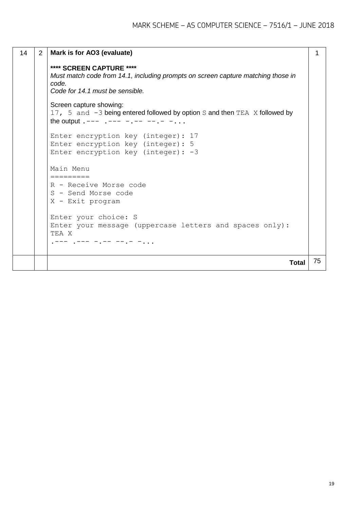```
14 2 Mark is for AO3 (evaluate)
        **** SCREEN CAPTURE ****
        Must match code from 14.1, including prompts on screen capture matching those in 
        code.
        Code for 14.1 must be sensible.
        Screen capture showing:
        17, 5 and -3 being entered followed by option S and then TEA X followed by
        the output . --- - - - - - - - - - - - -Enter encryption key (integer): 17
        Enter encryption key (integer): 5
        Enter encryption key (integer): -3
        Main Menu
        =========
        R - Receive Morse code
        S - Send Morse code
        X - Exit program
        Enter your choice: S
        Enter your message (uppercase letters and spaces only): 
        TEA X
        . - - - - - - - - - - - - - - - -1
                                                                         Total 75
```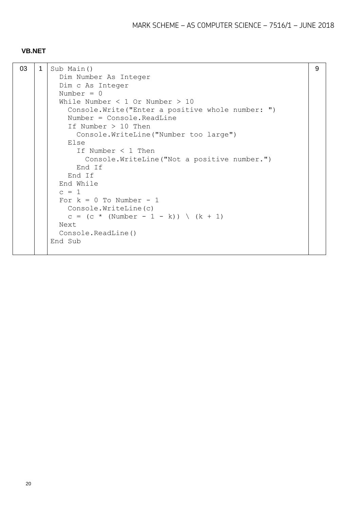#### **VB.NET**

| 03 | $\mathbf 1$ | Sub Main()                                         | 9 |
|----|-------------|----------------------------------------------------|---|
|    |             | Dim Number As Integer                              |   |
|    |             | Dim c As Integer                                   |   |
|    |             | Number $= 0$                                       |   |
|    |             | While Number $<$ 1 Or Number $>$ 10                |   |
|    |             | Console. Write ("Enter a positive whole number: ") |   |
|    |             | $Number = Console, ReadLine$                       |   |
|    |             | If Number $> 10$ Then                              |   |
|    |             | Console. WriteLine ("Number too large")            |   |
|    |             | Else                                               |   |
|    |             | If Number $<$ 1 Then                               |   |
|    |             | Console. WriteLine ("Not a positive number.")      |   |
|    |             | End If                                             |   |
|    |             | End If                                             |   |
|    |             | End While                                          |   |
|    |             | $C = 1$                                            |   |
|    |             | For $k = 0$ To Number - 1                          |   |
|    |             | Console. WriteLine (c)                             |   |
|    |             | c = $(c * (Number - 1 - k)) \ (k + 1)$             |   |
|    |             | Next                                               |   |
|    |             | Console. ReadLine()                                |   |
|    |             | End Sub                                            |   |
|    |             |                                                    |   |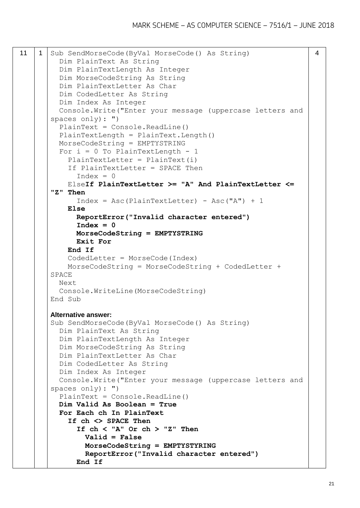```
11 | 1 | Sub SendMorseCode(ByVal MorseCode() As String)
          Dim PlainText As String
          Dim PlainTextLength As Integer
          Dim MorseCodeString As String
          Dim PlainTextLetter As Char
          Dim CodedLetter As String
          Dim Index As Integer
          Console.Write("Enter your message (uppercase letters and 
       spaces only): ")
          PlainText = Console.ReadLine()
         PlainTextLength = PlainText.Length()
          MorseCodeString = EMPTYSTRING
         For i = 0 To PlainTextLength - 1
           PlainTextLetter = PlainText(i) If PlainTextLetter = SPACE Then
             Index = 0 ElseIf PlainTextLetter >= "A" And PlainTextLetter <= 
       "Z" Then
             Index = Acc(PlainTextLetter) - Acc("A") + 1 Else
              ReportError("Invalid character entered")
              Index = 0
              MorseCodeString = EMPTYSTRING
              Exit For
            End If
            CodedLetter = MorseCode(Index)
            MorseCodeString = MorseCodeString + CodedLetter + 
       SPACE
          Next
          Console.WriteLine(MorseCodeString)
       End Sub
       Alternative answer:
       Sub SendMorseCode(ByVal MorseCode() As String)
          Dim PlainText As String
          Dim PlainTextLength As Integer
          Dim MorseCodeString As String
          Dim PlainTextLetter As Char
          Dim CodedLetter As String
          Dim Index As Integer
          Console.Write("Enter your message (uppercase letters and 
       spaces only): ")
          PlainText = Console.ReadLine()
          Dim Valid As Boolean = True
          For Each ch In PlainText
            If ch <> SPACE Then
              If ch < "A" Or ch > "Z" Then
                Valid = False
                MorseCodeString = EMPTYSTYRING
                ReportError("Invalid character entered")
              End If
```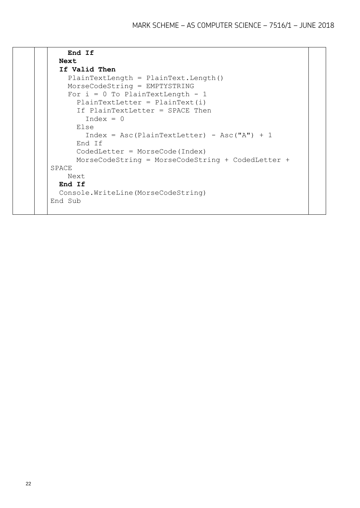| End If                                            |  |
|---------------------------------------------------|--|
| Next                                              |  |
| If Valid Then                                     |  |
| $PlainTextLength = PlainText.length()$            |  |
| MorseCodeString = EMPTYSTRING                     |  |
| For $i = 0$ To PlainTextLength - 1                |  |
| PlainTextLetter = $PlainText(i)$                  |  |
| If PlainTextLetter = SPACE Then                   |  |
| $Index = 0$                                       |  |
| Else                                              |  |
| $Index = Acc(PlainTextLetter) - Acc("A") + 1$     |  |
| End If                                            |  |
| $Codedletter = MorseCode(Index)$                  |  |
| MorseCodeString = MorseCodeString + CodedLetter + |  |
| SPACE                                             |  |
| Next                                              |  |
| End If                                            |  |
| Console. WriteLine (MorseCodeString)              |  |
| End Sub                                           |  |
|                                                   |  |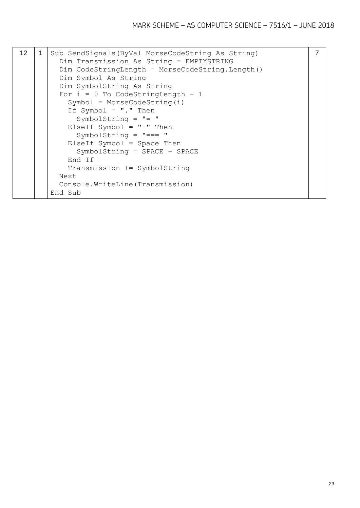| 12 <sub>2</sub> |  | Sub SendSignals (ByVal MorseCodeString As String)<br>Dim Transmission As String = EMPTYSTRING<br>$Dim CodeStringLength = MorseCodeString.length()$<br>Dim Symbol As String<br>Dim SymbolString As String<br>For $i = 0$ To CodeStringLength - 1<br>$Symbol = MorseCodeString(i)$<br>If Symbol = $"$ ." Then<br>SymbolString = $"$ = "<br>ElseIf Symbol = $"$ -" Then<br>SymbolString = $" == "$<br>$ElseIf Symbol = Space Then$<br>$SymbolString = SPACE + SPACE$<br>End If<br>Transmission += SymbolString<br>Next<br>Console. WriteLine (Transmission)<br>End Sub | $\overline{7}$ |
|-----------------|--|---------------------------------------------------------------------------------------------------------------------------------------------------------------------------------------------------------------------------------------------------------------------------------------------------------------------------------------------------------------------------------------------------------------------------------------------------------------------------------------------------------------------------------------------------------------------|----------------|
|-----------------|--|---------------------------------------------------------------------------------------------------------------------------------------------------------------------------------------------------------------------------------------------------------------------------------------------------------------------------------------------------------------------------------------------------------------------------------------------------------------------------------------------------------------------------------------------------------------------|----------------|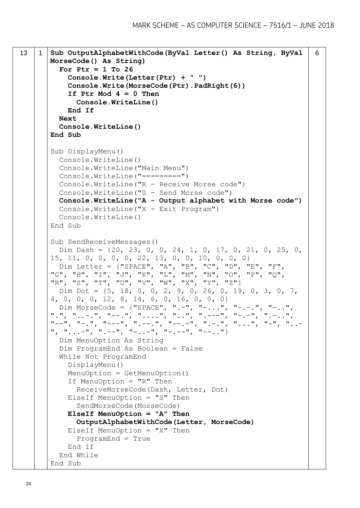```
13 1 Sub OutputAlphabetWithCode(ByVal Letter() As String, ByVal 
       MorseCode() As String)
          For Ptr = 1 To 26
             Console.Write(Letter(Ptr) + " ")
             Console.Write(MorseCode(Ptr).PadRight(6))
             If Ptr Mod 4 = 0 Then
               Console.WriteLine()
            End If
          Next
          Console.WriteLine()
       End Sub
       Sub DisplayMenu()
          Console.WriteLine()
          Console.WriteLine("Main Menu")
         Console.WriteLine("=========")
          Console.WriteLine("R - Receive Morse code")
          Console.WriteLine("S - Send Morse code")
          Console.WriteLine("A - Output alphabet with Morse code")
          Console.WriteLine("X - Exit Program")
          Console.WriteLine()
       End Sub
       Sub SendReceiveMessages()
          Dim Dash = {20, 23, 0, 0, 24, 1, 0, 17, 0, 21, 0, 25, 0, 
       15, 11, 0, 0, 0, 0, 22, 13, 0, 0, 10, 0, 0, 0}
          Dim Letter = {"SPACE", "A", "B", "C", "D", "E", "F", 
       "G", "H", "I", "J", "K", "L", "M", "N", "O", "P", "Q", 
       "R", "S", "T", "U", "V", "W", "X", "Y", "Z"}
          Dim Dot = {5, 18, 0, 0, 2, 9, 0, 26, 0, 19, 0, 3, 0, 7, 
       4, 0, 0, 0, 12, 8, 14, 6, 0, 16, 0, 0, 0}
          Dim MorseCode = {"SPACE", ".-", "-...", "-.-.", "-..", 
       '', '', '', ... - . '', '' - - . '', '', ..., '', '', ..., '', '', ---'', '', ---'', '', ---'', '', ---'', ---''"--", "-.", "---", ".---", "-.", "---", ", "---", ", "...", "...", "---", "...", "...,-", "---", "---", "---", "---", "---", "---", Dim MenuOption As String
          Dim ProgramEnd As Boolean = False
          While Not ProgramEnd
            DisplayMenu()
            MenuOption = GetMenuOption()
             If MenuOption = "R" Then
               ReceiveMorseCode(Dash, Letter, Dot)
            ElseIf MenuOption = "S" Then
               SendMorseCode(MorseCode)
            ElseIf MenuOption = "A" Then
               OutputAlphabetWithCode(Letter, MorseCode)
            ElseIf MenuOption = "X'' Then
               ProgramEnd = True
             End If
          End While
       End Sub
                                                                           6
```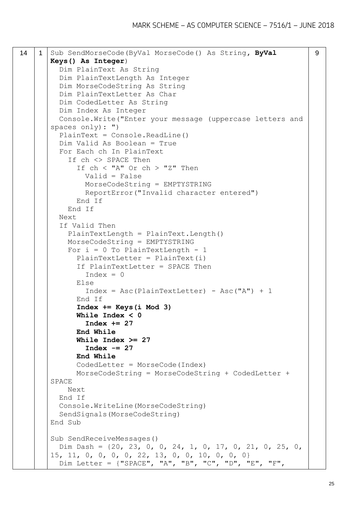```
14 1 Sub SendMorseCode(ByVal MorseCode() As String, ByVal 
       Keys() As Integer)
          Dim PlainText As String
          Dim PlainTextLength As Integer
          Dim MorseCodeString As String
          Dim PlainTextLetter As Char
          Dim CodedLetter As String
          Dim Index As Integer
          Console.Write("Enter your message (uppercase letters and 
       spaces only): ")
          PlainText = Console.ReadLine()
          Dim Valid As Boolean = True
          For Each ch In PlainText
            If ch <> SPACE Then
             If ch < "A" Or ch > "Z" Then
                Valid = False
                MorseCodeString = EMPTYSTRING
                ReportError("Invalid character entered")
              End If
            End If
          Next
          If Valid Then
            PlainTextLength = PlainText.Length()
            MorseCodeString = EMPTYSTRING
           For i = 0 To PlainTextLength - 1
             PlainTextLetter = PlainText(i) If PlainTextLetter = SPACE Then
                Index = 0 Else
                Index = Acc(PlainTextLetter) - Acc("A") + 1 End If
              Index += Keys(i Mod 3)
              While Index < 0
                Index += 27
              End While
              While Index >= 27
                 Index -= 27
              End While
              CodedLetter = MorseCode(Index)
              MorseCodeString = MorseCodeString + CodedLetter + 
       SPACE
            Next
          End If
          Console.WriteLine(MorseCodeString)
          SendSignals(MorseCodeString)
       End Sub
       Sub SendReceiveMessages()
          Dim Dash = {20, 23, 0, 0, 24, 1, 0, 17, 0, 21, 0, 25, 0, 
       15, 11, 0, 0, 0, 0, 22, 13, 0, 0, 10, 0, 0, 0}
          Dim Letter = {"SPACE", "A", "B", "C", "D", "E", "F", 
                                                                       9
```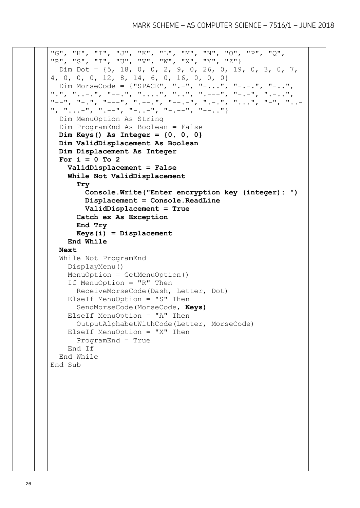```
"G", "H", "I", "J", "K", "L", "M", "N", "O", "P", "Q", 
"R", "S", "T", "U", "V", "W", "X", "Y", "Z"}
  Dim Dot = {5, 18, 0, 0, 2, 9, 0, 26, 0, 19, 0, 3, 0, 7, 
4, 0, 0, 0, 12, 8, 14, 6, 0, 16, 0, 0, 0}
 Dim MorseCode = {"SPACE", ".-", "-...", "-.-.", "-..", 
".", "..-.", "--.", "....", "..", ".---", "-.-", ".-..", 
"--", "-.", "---", ".--.", "--.-", ".-..", "...", "-", "..-
", "...-", ".--", "-..-", "-.--", "--.."}
   Dim MenuOption As String
  Dim ProgramEnd As Boolean = False
   Dim Keys() As Integer = {0, 0, 0}
  Dim ValidDisplacement As Boolean
   Dim Displacement As Integer
   For i = 0 To 2
     ValidDisplacement = False
     While Not ValidDisplacement
       Try
         Console.Write("Enter encryption key (integer): ")
         Displacement = Console.ReadLine
         ValidDisplacement = True
       Catch ex As Exception
       End Try
       Keys(i) = Displacement
     End While
   Next
   While Not ProgramEnd
     DisplayMenu()
     MenuOption = GetMenuOption()
     If MenuOption = "R" Then
       ReceiveMorseCode(Dash, Letter, Dot)
     ElseIf MenuOption = "S" Then
       SendMorseCode(MorseCode, Keys)
     ElseIf MenuOption = "A" Then
       OutputAlphabetWithCode(Letter, MorseCode)
    ElseIf MenuOption = "X'' Then
       ProgramEnd = True
     End If
   End While
End Sub
```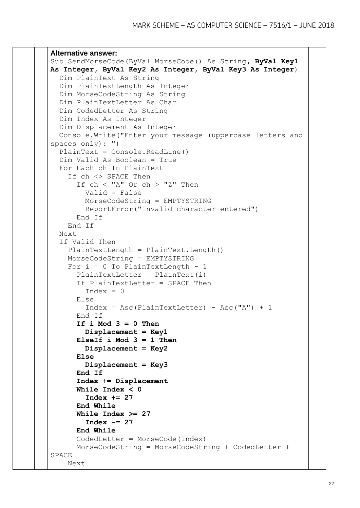```
Alternative answer:
Sub SendMorseCode(ByVal MorseCode() As String, ByVal Key1 
As Integer, ByVal Key2 As Integer, ByVal Key3 As Integer)
   Dim PlainText As String
   Dim PlainTextLength As Integer
   Dim MorseCodeString As String
   Dim PlainTextLetter As Char
   Dim CodedLetter As String
   Dim Index As Integer
   Dim Displacement As Integer
   Console.Write("Enter your message (uppercase letters and 
spaces only): ")
   PlainText = Console.ReadLine()
   Dim Valid As Boolean = True
   For Each ch In PlainText
     If ch <> SPACE Then
       If ch < "A" Or ch > "Z" Then
         Valid = False
         MorseCodeString = EMPTYSTRING
         ReportError("Invalid character entered")
       End If
     End If
   Next
   If Valid Then
     PlainTextLength = PlainText.Length()
     MorseCodeString = EMPTYSTRING
    For i = 0 To PlainTextLength - 1
       PlainTextLetter = PlainText(i)
       If PlainTextLetter = SPACE Then
        Index = 0 Else
        Index = Acc(PlainTextLetter) - Acc("A") + 1 End If
       If i Mod 3 = 0 Then
         Displacement = Key1
       ElseIf i Mod 3 = 1 Then
         Displacement = Key2
       Else
         Displacement = Key3
       End If
       Index += Displacement
       While Index < 0
         Index += 27
       End While
       While Index >= 27
         Index -= 27
       End While
       CodedLetter = MorseCode(Index)
       MorseCodeString = MorseCodeString + CodedLetter + 
SPACE
     Next
```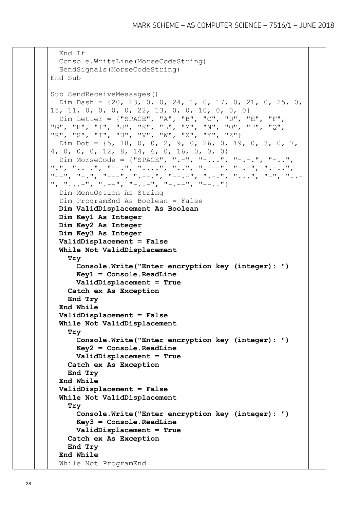```
 End If
   Console.WriteLine(MorseCodeString)
   SendSignals(MorseCodeString)
End Sub
Sub SendReceiveMessages()
   Dim Dash = {20, 23, 0, 0, 24, 1, 0, 17, 0, 21, 0, 25, 0, 
15, 11, 0, 0, 0, 0, 22, 13, 0, 0, 10, 0, 0, 0}
   Dim Letter = {"SPACE", "A", "B", "C", "D", "E", "F", 
"G", "H", "I", "J", "K", "L", "M", "N", "O", "P", "Q", 
"R", "S", "T", "U", "V", "W", "X", "Y", "Z"}
  Dim Dot = {5, 18, 0, 0, 2, 9, 0, 26, 0, 19, 0, 3, 0, 7, 
4, 0, 0, 0, 12, 8, 14, 6, 0, 16, 0, 0, 0}
   Dim MorseCode = {"SPACE", ".-", "-...", "-.-.", "-..", 
".", "..-.", "--.", "....", "..", ".---", "-.-", ".-..", 
"--", "-.", "---", ".--.", "--.-", ".-.", "...", "-", "..-
", "...-", ".--", "-..-", "-.--", "--.."}
   Dim MenuOption As String
  Dim ProgramEnd As Boolean = False
  Dim ValidDisplacement As Boolean
  Dim Key1 As Integer
  Dim Key2 As Integer
  Dim Key3 As Integer
  ValidDisplacement = False
   While Not ValidDisplacement
     Try
       Console.Write("Enter encryption key (integer): ")
       Key1 = Console.ReadLine
       ValidDisplacement = True
     Catch ex As Exception
     End Try
   End While
   ValidDisplacement = False
   While Not ValidDisplacement
     Try
       Console.Write("Enter encryption key (integer): ")
       Key2 = Console.ReadLine
       ValidDisplacement = True
     Catch ex As Exception
     End Try
   End While
   ValidDisplacement = False
   While Not ValidDisplacement
     Try
       Console.Write("Enter encryption key (integer): ")
       Key3 = Console.ReadLine
       ValidDisplacement = True
     Catch ex As Exception
     End Try
   End While
   While Not ProgramEnd
```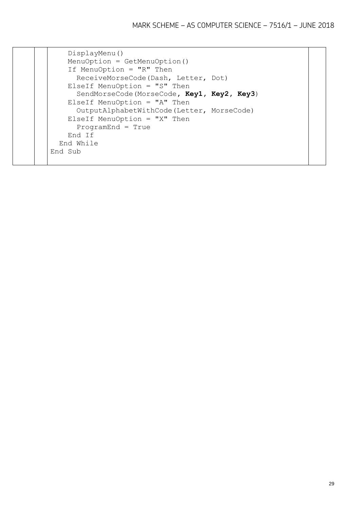|  | DisplayMenu()<br>$MenuOption = GetMenuOption()$<br>If MenuOption = " $R$ " Then |
|--|---------------------------------------------------------------------------------|
|  | ReceiveMorseCode(Dash, Letter, Dot)                                             |
|  | ElseIf MenuOption = " $S''$ Then                                                |
|  | SendMorseCode (MorseCode, Key1, Key2, Key3)                                     |
|  | ElseIf MenuOption = "A" Then                                                    |
|  | OutputAlphabetWithCode(Letter, MorseCode)                                       |
|  | ElseIf MenuOption = "X" Then                                                    |
|  | $ProgramEnd = True$                                                             |
|  | End If                                                                          |
|  | End While                                                                       |
|  | End Sub                                                                         |
|  |                                                                                 |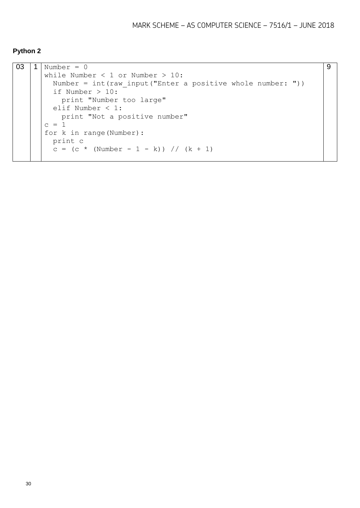#### **Python 2**

```
03 | 1 | Number = 0
      while Number < 1 or Number > 10:
        Number = int(raw input("Enter a positive whole number: "))
         if Number > 10:
          print "Number too large"
         elif Number < 1:
           print "Not a positive number"
      c = 1for k in range(Number):
         print c
        c = (c * (Number - 1 - k)) // (k + 1)9
```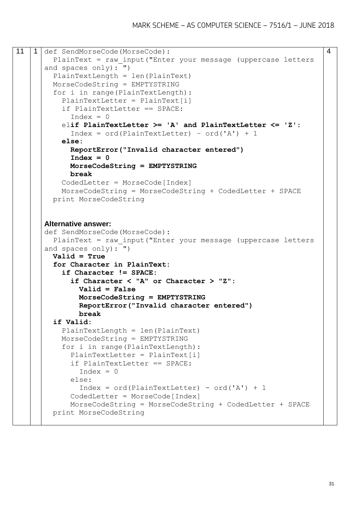```
11 | 1 def SendMorseCode(MorseCode):
         PlainText = raw_input("Enter your message (uppercase letters 
      and spaces only): ")
         PlainTextLength = len(PlainText)
         MorseCodeString = EMPTYSTRING
         for i in range(PlainTextLength):
          PlainTextLetter = PlainText[i]
           if PlainTextLetter == SPACE:
             Index = 0 elif PlainTextLetter >= 'A' and PlainTextLetter <= 'Z':
              Index = ord(PlainTextLetter) – ord('A') + 1
           else:
             ReportError("Invalid character entered")
            Index = 0 MorseCodeString = EMPTYSTRING
             break
           CodedLetter = MorseCode[Index]
           MorseCodeString = MorseCodeString + CodedLetter + SPACE
         print MorseCodeString
      Alternative answer:
      def SendMorseCode(MorseCode):
         PlainText = raw_input("Enter your message (uppercase letters 
      and spaces only): ")
         Valid = True
         for Character in PlainText:
           if Character != SPACE:
              if Character < "A" or Character > "Z":
               Valid = False
               MorseCodeString = EMPTYSTRING
               ReportError("Invalid character entered")
               break
         if Valid:
           PlainTextLength = len(PlainText)
           MorseCodeString = EMPTYSTRING
           for i in range(PlainTextLength):
              PlainTextLetter = PlainText[i]
              if PlainTextLetter == SPACE:
               Index = 0 else: 
               Index = ord(PlainTextLetter) - ord('A') + 1CodedLetter = MorseCode[Index]
             MorseCodeString = MorseCodeString + CodedLetter + SPACE
         print MorseCodeString
```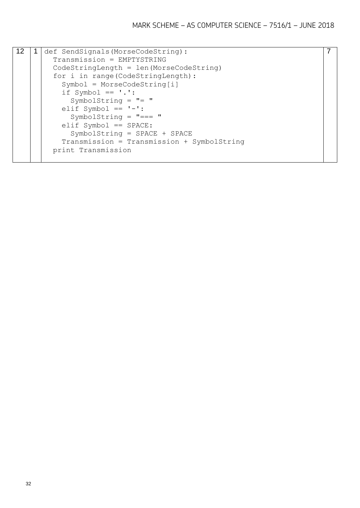| 12. | def SendSignals (MorseCodeString):         |  |
|-----|--------------------------------------------|--|
|     | Transmission = EMPTYSTRING                 |  |
|     | $CodeStringLength = len(MorseCodeString)$  |  |
|     | for i in range (CodeStringLength) :        |  |
|     | $Symbol = MorseCodeString[i]$              |  |
|     | if Symbol $== '.'$ :                       |  |
|     | SymbolString = $"$ = "                     |  |
|     | elif Symbol == $'-':$                      |  |
|     | SymbolString = $" == "$                    |  |
|     | $elif$ Symbol == SPACE:                    |  |
|     | $SymbolString = SPACE + SPACE$             |  |
|     | Transmission = Transmission + SymbolString |  |
|     | print Transmission                         |  |
|     |                                            |  |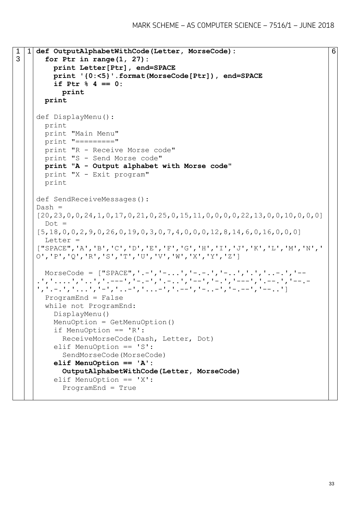```
1
3
     1 def OutputAlphabetWithCode(Letter, MorseCode):
        for Ptr in range(1, 27):
          print Letter[Ptr], end=SPACE
          print '{0:<5}'.format(MorseCode[Ptr]), end=SPACE
          if Ptr % 4 == 0:
            print
       print
     def DisplayMenu():
       print
       print "Main Menu"
        print "========="
       print "R - Receive Morse code"
       print "S - Send Morse code"
       print "A - Output alphabet with Morse code"
       print "X - Exit program"
       print 
     def SendReceiveMessages():
     Dash =[20, 23, 0, 0, 24, 1, 0, 17, 0, 21, 0, 25, 0, 15, 11, 0, 0, 0, 22, 13, 0, 0, 10, 0, 0, 0]Dot =[5,18,0,0,2,9,0,26,0,19,0,3,0,7,4,0,0,0,12,8,14,6,0,16,0,0,0]
        Letter = 
     ["SPACE",'A','B','C','D','E','F','G','H','I','J','K','L','M','N','
     O','P','Q','R','S','T','U','V','W','X','Y','Z']
      MorseCode = ["SPACE",'.-','-...','-.-.','-..','.','...-.','--
     .','....','..','.---','-.-','.-..','--','-.','---','.--.','--.-
     ','.-.','...','-','..-','...-','.--','-..-','-.--','--..']
       ProgramEnd = False
        while not ProgramEnd:
          DisplayMenu() 
          MenuOption = GetMenuOption()
          if MenuOption == 'R':
            ReceiveMorseCode(Dash, Letter, Dot)
          elif MenuOption == 'S':
            SendMorseCode(MorseCode) 
          elif MenuOption == 'A':
            OutputAlphabetWithCode(Letter, MorseCode)
          elif MenuOption == 'X':
            ProgramEnd = True
```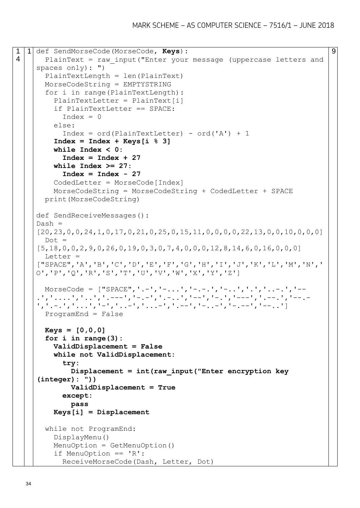```
1
4
  1 def SendMorseCode(MorseCode, Keys):
       PlainText = raw_input("Enter your message (uppercase letters and 
     spaces only): ")
        PlainTextLength = len(PlainText)
       MorseCodeString = EMPTYSTRING
        for i in range(PlainTextLength):
         PlainTextLetter = PlainText[i]
          if PlainTextLetter == SPACE:
           Index = 0 else: 
           Index = ord(PlainTextLetter) - ord('A') + 1 Index = Index + Keys[i % 3]
          while Index < 0:
            Index = Index + 27
          while Index >= 27:
            Index = Index - 27
         CodedLetter = MorseCode[Index]
          MorseCodeString = MorseCodeString + CodedLetter + SPACE
        print(MorseCodeString)
    def SendReceiveMessages():
    Dash =[20,23,0,0,24,1,0,17,0,21,0,25,0,15,11,0,0,0,0,22,13,0,0,10,0,0,0]
       Dot =[5,18,0,0,2,9,0,26,0,19,0,3,0,7,4,0,0,0,12,8,14,6,0,16,0,0,0] Letter = 
     ["SPACE",'A','B','C','D','E','F','G','H','I','J','K','L','M','N','
    O','P','Q','R','S','T','U','V','W','X','Y','Z']
      MorseCode = ['SPACE", '.-', '.-.,','--.', '.-,.', '.-,.', '.'.', '.-.', '.-.','....','..','.---','-.-','.-..','--','-.','---','.--.','--.-
     ','.-.','...','-','..-','...-','.--','-..-','-.--','--..']
       ProgramEnd = False
       Keys = [0,0,0]
        for i in range(3):
          ValidDisplacement = False
          while not ValidDisplacement:
            try:
              Displacement = int(raw_input("Enter encryption key 
     (integer): "))
              ValidDisplacement = True
            except:
              pass
          Keys[i] = Displacement
        while not ProgramEnd:
          DisplayMenu() 
          MenuOption = GetMenuOption()
          if MenuOption == 'R':
            ReceiveMorseCode(Dash, Letter, Dot)
```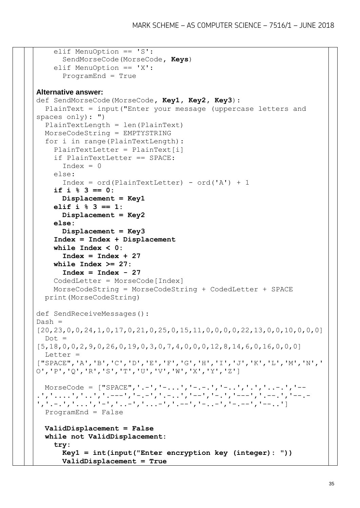```
 elif MenuOption == 'S':
       SendMorseCode(MorseCode, Keys) 
     elif MenuOption == 'X':
       ProgramEnd = True
Alternative answer:
def SendMorseCode(MorseCode, Key1, Key2, Key3):
   PlainText = input("Enter your message (uppercase letters and 
spaces only): ")
   PlainTextLength = len(PlainText)
  MorseCodeString = EMPTYSTRING
   for i in range(PlainTextLength):
     PlainTextLetter = PlainText[i]
     if PlainTextLetter == SPACE:
      Index = 0 else: 
      Index = ord(PlainTextLetter) - ord('A') + 1 if i % 3 == 0:
       Displacement = Key1
     elif i % 3 == 1:
      Displacement = Key2
     else:
       Displacement = Key3
     Index = Index + Displacement
     while Index < 0:
       Index = Index + 27
     while Index >= 27:
       Index = Index - 27
     CodedLetter = MorseCode[Index]
     MorseCodeString = MorseCodeString + CodedLetter + SPACE
   print(MorseCodeString)
def SendReceiveMessages():
Dash =[20,23,0,0,24,1,0,17,0,21,0,25,0,15,11,0,0,0,0,22,13,0,0,10,0,0,0]
  Dot =[5,18,0,0,2,9,0,26,0,19,0,3,0,7,4,0,0,0,12,8,14,6,0,16,0,0,0] Letter = 
["SPACE",'A','B','C','D','E','F','G','H','I','J','K','L','M','N','
O','P','Q','R','S','T','U','V','W','X','Y','Z']
 MorseCode = ["SPACE", '.-', '.-.,.', '.-,-,','--.', '.-., ', '.'.', '.-..','....','..','.---','-.-','.-..','--','-.','---','.--.','--.-
','.-.','...','-','..-','...-','.--','-..-','-.--','--..']
  ProgramEnd = False
  ValidDisplacement = False
   while not ValidDisplacement:
     try:
       Key1 = int(input("Enter encryption key (integer): "))
       ValidDisplacement = True
```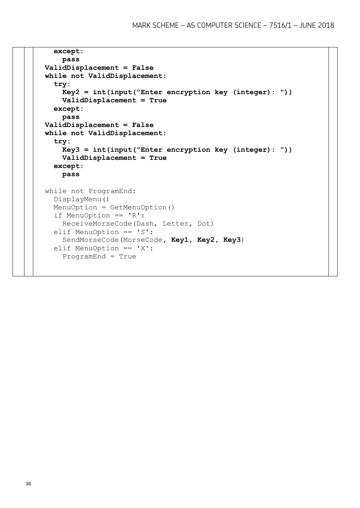```
 except:
     pass
 ValidDisplacement = False
 while not ValidDisplacement:
   try:
     Key2 = int(input("Enter encryption key (integer): "))
     ValidDisplacement = True
   except:
     pass
 ValidDisplacement = False
 while not ValidDisplacement:
   try:
     Key3 = int(input("Enter encryption key (integer): "))
     ValidDisplacement = True
   except:
     pass 
 while not ProgramEnd:
   DisplayMenu() 
   MenuOption = GetMenuOption()
   if MenuOption == 'R':
     ReceiveMorseCode(Dash, Letter, Dot)
   elif MenuOption == 'S':
     SendMorseCode(MorseCode, Key1, Key2, Key3) 
   elif MenuOption == 'X':
     ProgramEnd = True
```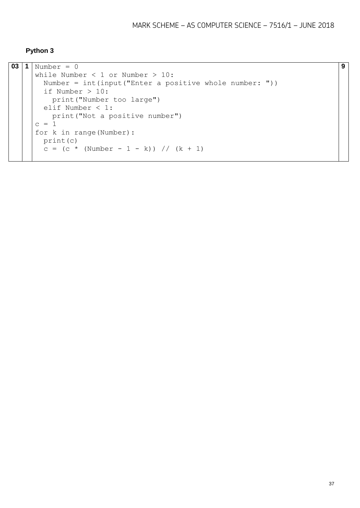#### **Python 3**

```
03 1 Number = 0
     while Number < 1 or Number > 10:
       Number = int(input("Enter a positive whole number: "))
        if Number > 10:
         print("Number too large")
        elif Number < 1:
          print("Not a positive number")
     c = 1for k in range(Number):
        print(c)
       c = (c * (Number - 1 - k)) // (k + 1)
```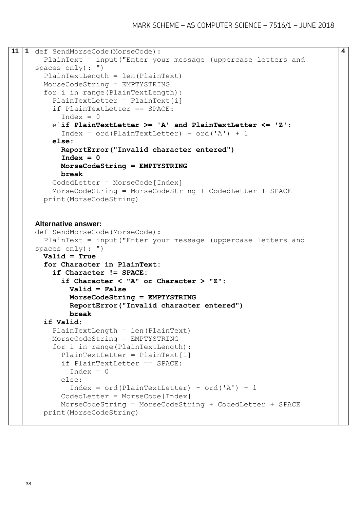```
11 1 def SendMorseCode(MorseCode):
        PlainText = input("Enter your message (uppercase letters and 
     spaces only): ")
        PlainTextLength = len(PlainText)
        MorseCodeString = EMPTYSTRING
        for i in range(PlainTextLength):
         PlainTextLetter = PlainText[i]
          if PlainTextLetter == SPACE:
           Index = 0 elif PlainTextLetter >= 'A' and PlainTextLetter <= 'Z':
            Index = ord(PlainTextLetter) – ord('A') + 1
          else:
            ReportError("Invalid character entered")
           Index = 0 MorseCodeString = EMPTYSTRING
            break
          CodedLetter = MorseCode[Index]
          MorseCodeString = MorseCodeString + CodedLetter + SPACE
        print(MorseCodeString)
     Alternative answer:
     def SendMorseCode(MorseCode):
        PlainText = input("Enter your message (uppercase letters and 
     spaces only): ")
        Valid = True
        for Character in PlainText:
          if Character != SPACE:
            if Character < "A" or Character > "Z":
              Valid = False
              MorseCodeString = EMPTYSTRING
              ReportError("Invalid character entered")
              break
        if Valid:
          PlainTextLength = len(PlainText)
          MorseCodeString = EMPTYSTRING
          for i in range(PlainTextLength):
            PlainTextLetter = PlainText[i]
            if PlainTextLetter == SPACE:
             Index = 0 else: 
             Index = ord(PlainTextLetter) - ord('A') + 1CodedLetter = MorseCode[Index]
            MorseCodeString = MorseCodeString + CodedLetter + SPACE
        print(MorseCodeString)
```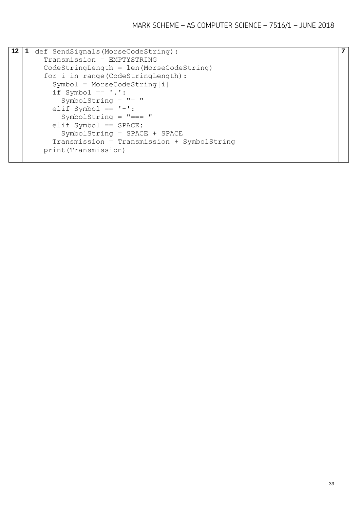| $12 \,$ | 1 | def SendSignals (MorseCodeString):         |
|---------|---|--------------------------------------------|
|         |   | Transmission = EMPTYSTRING                 |
|         |   | $CodeStringLength = len(MorseCodeString)$  |
|         |   | for i in range (CodeStringLength) :        |
|         |   | $Symbol = MorseCodeString[i]$              |
|         |   | if Symbol $== '.'$ :                       |
|         |   | SymbolString = $"$ = "                     |
|         |   | elif Symbol == $'$ -':                     |
|         |   | SymbolString = $" == "$                    |
|         |   | $elif$ Symbol == SPACE:                    |
|         |   | $SymbolString = SPACE + SPACE$             |
|         |   | Transmission = Transmission + SymbolString |
|         |   | print (Transmission)                       |
|         |   |                                            |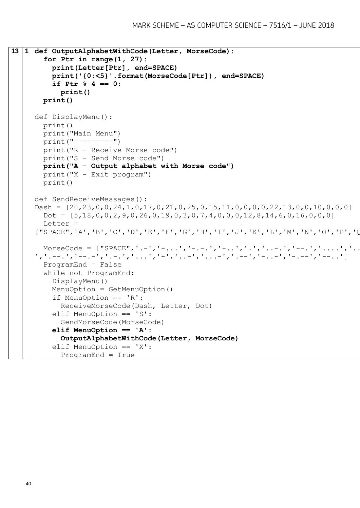```
13 1 def OutputAlphabetWithCode(Letter, MorseCode):
        for Ptr in range(1, 27):
          print(Letter[Ptr], end=SPACE)
          print('{0:<5}'.format(MorseCode[Ptr]), end=SPACE)
           if Ptr % 4 == 0:
             print()
        print()
     def DisplayMenu():
        print()
        print("Main Menu")
        print("=========")
        print("R - Receive Morse code")
        print("S - Send Morse code")
        print("A - Output alphabet with Morse code")
        print("X - Exit program")
        print() 
     def SendReceiveMessages():
     Dash = [20,23,0,0,24,1,0,17,0,21,0,25,0,15,11,0,0,0,0,22,13,0,0,10,0,0,0]
       Dot = [5,18,0,0,2,9,0,26,0,19,0,3,0,7,4,0,0,0,12,8,14,6,0,16,0,0,0] Letter = 
     ["SPACE",'A','B','C','D','E','F','G','H','I','J','K','L','M','N','O','P','Q','R','S','T','U','V','W','X','Y','Z']
       MorseCode = ["SPACE", '.-', '-...', '-.-.', '-..', '.', '..-.', '--.', '....', '..
     ','.--.','--.-','.-.','...','-','..-','...-','.--','-..-','-.--','--..']
        ProgramEnd = False
        while not ProgramEnd:
          DisplayMenu() 
          MenuOption = GetMenuOption()
           if MenuOption == 'R':
             ReceiveMorseCode(Dash, Letter, Dot)
          elif MenuOption == 'S':
             SendMorseCode(MorseCode) 
           elif MenuOption == 'A':
             OutputAlphabetWithCode(Letter, MorseCode)
           elif MenuOption == 'X':
             ProgramEnd = True
```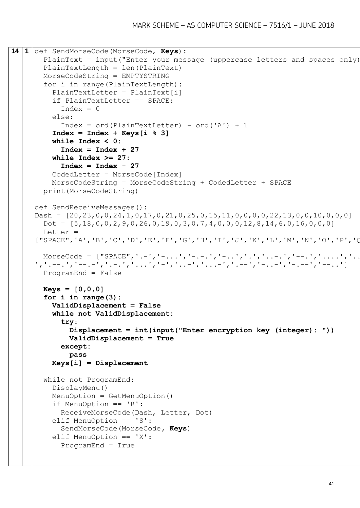```
14 1 def SendMorseCode(MorseCode, Keys):
       PlainText = input ("Enter your message (uppercase letters and spaces only)
        PlainTextLength = len(PlainText)
        MorseCodeString = EMPTYSTRING
        for i in range(PlainTextLength):
          PlainTextLetter = PlainText[i]
          if PlainTextLetter == SPACE:
            Index = 0 else: 
            Index = ord(PlainTextLetter) - ord('A') + 1 Index = Index + Keys[i % 3]
          while Index < 0:
             Index = Index + 27
          while Index >= 27:
             Index = Index - 27
          CodedLetter = MorseCode[Index]
          MorseCodeString = MorseCodeString + CodedLetter + SPACE
        print(MorseCodeString)
     def SendReceiveMessages():
     Dash = [20,23,0,0,24,1,0,17,0,21,0,25,0,15,11,0,0,0,0,22,13,0,0,10,0,0,0]
       Dot = [5,18,0,0,2,9,0,26,0,19,0,3,0,7,4,0,0,0,12,8,14,6,0,16,0,0]Letter =
     ["SPACE",'A','B','C','D','E','F','G','H','I','J','K','L','M','N','O','P','Q','R','S','T','U','V','W','X','Y','Z']
       MorseCode = ["SPACE", '.-', '-...', '-.-.', '-..', '.', '..-.', '--.', '....', '..
     ','.--.','--.-','.-.','...','-','..-','...-','.--','-..-','-.--','--..']
        ProgramEnd = False
        Keys = [0,0,0]
        for i in range(3):
          ValidDisplacement = False
          while not ValidDisplacement:
             try:
               Displacement = int(input("Enter encryption key (integer): "))
               ValidDisplacement = True
             except:
               pass
          Keys[i] = Displacement
        while not ProgramEnd:
          DisplayMenu() 
          MenuOption = GetMenuOption()
          if MenuOption == 'R':
            ReceiveMorseCode(Dash, Letter, Dot)
          elif MenuOption == 'S':
             SendMorseCode(MorseCode, Keys) 
          elif MenuOption == 'X':
             ProgramEnd = True
```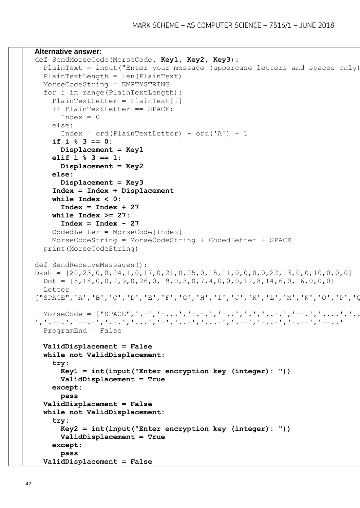```
Alternative answer:
def SendMorseCode(MorseCode, Key1, Key2, Key3):
  PlainText = input ("Enter your message (uppercase letters and spaces only)
   PlainTextLength = len(PlainText)
   MorseCodeString = EMPTYSTRING
   for i in range(PlainTextLength):
     PlainTextLetter = PlainText[i]
     if PlainTextLetter == SPACE:
      Index = 0 else: 
      Index = ord(PlainTextLetter) - ord('A') + 1 if i % 3 == 0:
       Displacement = Key1
     elif i % 3 == 1:
       Displacement = Key2
     else:
       Displacement = Key3
     Index = Index + Displacement
     while Index < 0:
       Index = Index + 27
     while Index >= 27:
       Index = Index - 27
     CodedLetter = MorseCode[Index]
     MorseCodeString = MorseCodeString + CodedLetter + SPACE
   print(MorseCodeString)
def SendReceiveMessages():
Dash = [20, 23, 0, 0, 24, 1, 0, 17, 0, 21, 0, 25, 0, 15, 11, 0, 0, 0, 22, 13, 0, 0, 10, 0, 0, 0]Dot = [5,18,0,0,2,9,0,26,0,19,0,3,0,7,4,0,0,0,12,8,14,6,0,16,0,0,0] Letter = 
["SPACE",'A','B','C','D','E','F','G','H','I','J','K','L','M','N','O','P','Q','R','S','T','U','V','W','X','Y','Z']
 MorseCode = ['SPACE", '.-', '.-.'.', '.--.', '.-..', '.-..', '.'.-.', '.--.', '.-..', '.-..', '....']','.--.','--.-','.-.','...','-','..-','...-','.--','-..-','-.--','--..']
   ProgramEnd = False
   ValidDisplacement = False
   while not ValidDisplacement:
     try:
       Key1 = int(input("Enter encryption key (integer): "))
       ValidDisplacement = True
     except:
       pass
   ValidDisplacement = False
   while not ValidDisplacement:
     try:
       Key2 = int(input("Enter encryption key (integer): "))
       ValidDisplacement = True
     except:
       pass
   ValidDisplacement = False
```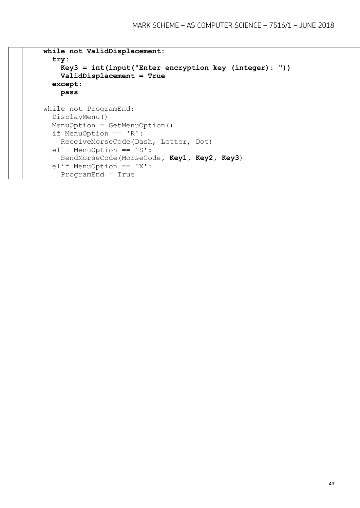```
 while not ValidDisplacement:
   try:
     Key3 = int(input("Enter encryption key (integer): "))
     ValidDisplacement = True
   except:
     pass 
 while not ProgramEnd:
   DisplayMenu() 
   MenuOption = GetMenuOption()
   if MenuOption == 'R':
     ReceiveMorseCode(Dash, Letter, Dot)
   elif MenuOption == 'S':
     SendMorseCode(MorseCode, Key1, Key2, Key3) 
   elif MenuOption == 'X':
    ProgramEnd = True
```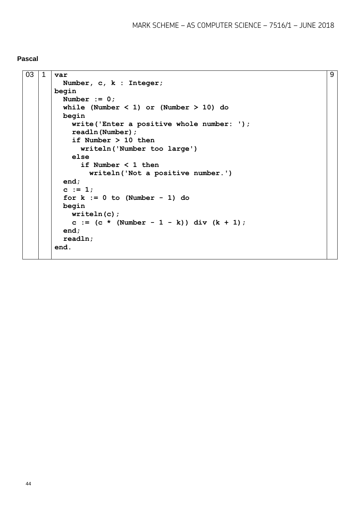#### **Pascal**

```
03 1 var
          Number, c, k : Integer;
      begin
          Number := 0;
          while (Number < 1) or (Number > 10) do
         begin
            write('Enter a positive whole number: ');
            readln(Number);
            if Number > 10 then
              writeln('Number too large')
            else
              if Number < 1 then
                writeln('Not a positive number.')
          end;
         c := 1; for k := 0 to (Number - 1) do
         begin
            writeln(c);
           c := (c * (Number - 1 - k)) div (k + 1); end;
          readln;
       end.
```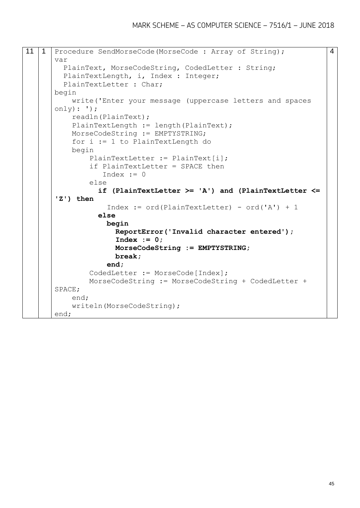```
11 | 1 | Procedure SendMorseCode (MorseCode: Array of String);
      var
          PlainText, MorseCodeString, CodedLetter : String;
        PlainTextLength, i, Index : Integer;
         PlainTextLetter : Char;
      begin
            write('Enter your message (uppercase letters and spaces 
      only): ');
            readln(PlainText);
           PlainTextLength := length(PlainText);
            MorseCodeString := EMPTYSTRING;
            for i := 1 to PlainTextLength do
            begin
                PlainTextLetter := PlainText[i];
                if PlainTextLetter = SPACE then
                   Index := 0
                else
                  if (PlainTextLetter >= 'A') and (PlainTextLetter <= 
       'Z') then
                   Index := ord(PlainTextLetter) - ord('A') + 1 else
                    begin
                      ReportError('Invalid character entered');
                      Index := 0;
                      MorseCodeString := EMPTYSTRING;
                      break;
                    end;
                CodedLetter := MorseCode[Index];
                MorseCodeString := MorseCodeString + CodedLetter + 
      SPACE;
            end;
            writeln(MorseCodeString);
      end; 
                                                                          4
```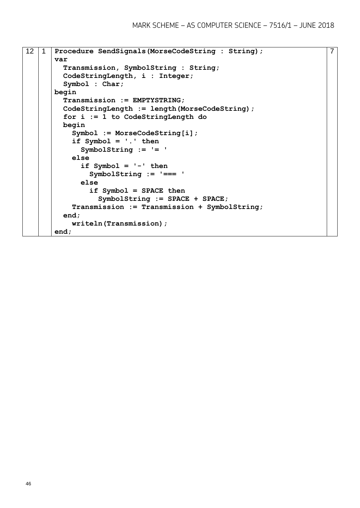```
12 1 Procedure SendSignals(MorseCodeString : String);
      var
          Transmission, SymbolString : String;
         CodeStringLength, i : Integer;
          Symbol : Char;
      begin
         Transmission := EMPTYSTRING;
         CodeStringLength := length(MorseCodeString);
         for i := 1 to CodeStringLength do
         begin
            Symbol := MorseCodeString[i];
            if Symbol = '.' then
              SymbolString := '= '
            else 
              if Symbol = '-' then
                SymbolString := '=== '
              else 
                if Symbol = SPACE then
                  SymbolString := SPACE + SPACE;
            Transmission := Transmission + SymbolString;
         end;
            writeln(Transmission);
      end;
```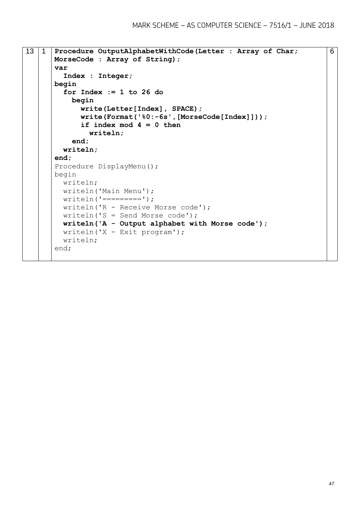```
13 1 Procedure OutputAlphabetWithCode(Letter : Array of Char; 
      MorseCode : Array of String);
      var
         Index : Integer;
      begin
         for Index := 1 to 26 do
           begin
              write(Letter[Index], SPACE);
              write(Format('%0:-6s',[MorseCode[Index]]));
              if index mod 4 = 0 then
                writeln;
            end;
         writeln;
      end;
      Procedure DisplayMenu();
      begin
         writeln;
         writeln('Main Menu');
        writeln('-----');
         writeln('R - Receive Morse code');
         writeln('S = Send Morse code');
         writeln('A - Output alphabet with Morse code');
         writeln('X - Exit program');
         writeln;
      end;
```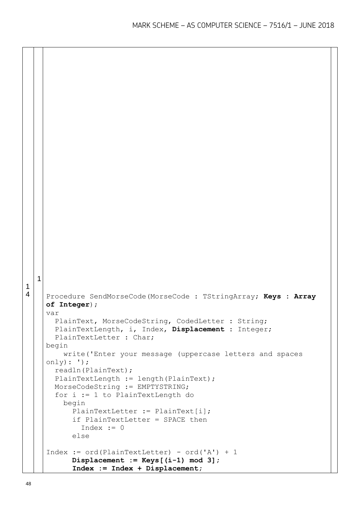```
1
4
  1
    Procedure SendMorseCode(MorseCode : TStringArray; Keys : Array 
    of Integer);
    var
        PlainText, MorseCodeString, CodedLetter : String;
       PlainTextLength, i, Index, Displacement : Integer;
       PlainTextLetter : Char;
    begin
          write('Enter your message (uppercase letters and spaces 
    only): ');
       readln(PlainText);
      PlainTextLength := length(PlainText);
       MorseCodeString := EMPTYSTRING;
        for i := 1 to PlainTextLength do
          begin
            PlainTextLetter := PlainText[i];
            if PlainTextLetter = SPACE then
             Index := 0 else 
    Index := ord(PlainTextLetter) - ord('A') + 1 Displacement := Keys[(i-1) mod 3];
            Index := Index + Displacement;
```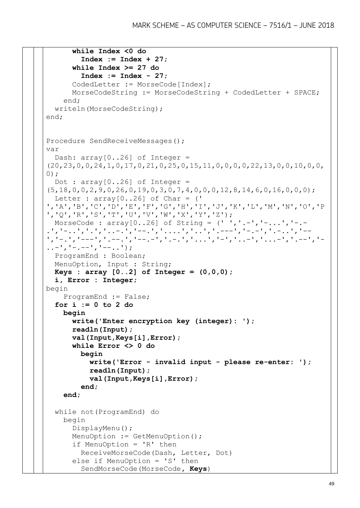```
 while Index <0 do
         Index := Index + 27;
       while Index >= 27 do
         Index := Index - 27;
       CodedLetter := MorseCode[Index];
       MorseCodeString := MorseCodeString + CodedLetter + SPACE;
     end;
   writeln(MorseCodeString);
end;
Procedure SendReceiveMessages();
var
 Dash: array[0..26] of Integer =
(20,23,0,0,24,1,0,17,0,21,0,25,0,15,11,0,0,0,0,22,13,0,0,10,0,0,
0);
 Dot : array[0..26] of Integer =
(5,18,0,0,2,9,0,26,0,19,0,3,0,7,4,0,0,0,12,8,14,6,0,16,0,0,0);
 Letter : array[0..26] of Char = ('
','A','B','C','D','E','F','G','H','I','J','K','L','M','N','O','P
','Q','R','S','T','U','V','W','X','Y','Z');
  MorseCode : array[0..26] of String = (' ','.-','-...','-.-
.','-..','.','..-.','--.','....','..','.---','-.-','.-..','--
','-.','---','.--.','--.-','.-.','...','-','..-','...-','.--','-
\ldots-', '-.--', '--..');
  ProgramEnd : Boolean;
  MenuOption, Input : String;
  Keys : array [0..2] of Integer = (0,0,0);
   i, Error : Integer;
begin
     ProgramEnd := False;
   for i := 0 to 2 do
     begin
       write('Enter encryption key (integer): ');
       readln(Input);
       val(Input,Keys[i],Error);
       while Error <> 0 do
         begin
           write('Error - invalid input - please re-enter: ');
           readln(Input);
           val(Input,Keys[i],Error);
         end;
     end;
   while not(ProgramEnd) do
     begin
       DisplayMenu();
       MenuOption := GetMenuOption();
       if MenuOption = 'R' then
         ReceiveMorseCode(Dash, Letter, Dot)
       else if MenuOption = 'S' then
         SendMorseCode(MorseCode, Keys)
```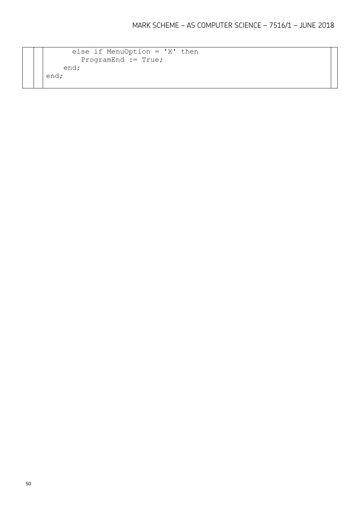```
 else if MenuOption = 'X' then
       ProgramEnd := True;
    end;
end;
```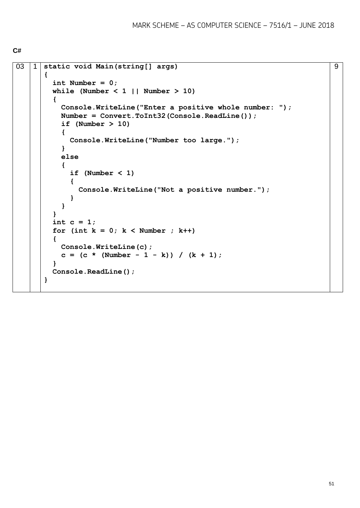```
C#
```

```
03 1 static void Main(string[] args)
       {
         int Number = 0;
        while (Number \langle 1 | Number > 10)
          {
            Console.WriteLine("Enter a positive whole number: ");
            Number = Convert.ToInt32(Console.ReadLine());
            if (Number > 10)
            {
              Console.WriteLine("Number too large.");
            }
            else
            {
              if (Number < 1)
              {
                Console.WriteLine("Not a positive number.");
              }
            }
          }
          int c = 1;
         for (int k = 0; k < Number ; k++)
          {
            Console.WriteLine(c);
           c = (c * (Number - 1 - k)) / (k + 1); }
          Console.ReadLine();
       }
```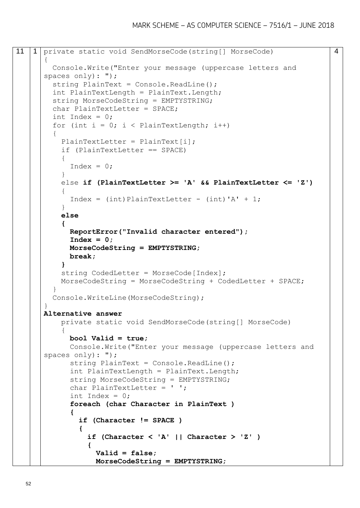```
11 | 1 private static void SendMorseCode(string[] MorseCode)
      {
         Console.Write("Enter your message (uppercase letters and 
      spaces only): ");
        string PlainText = Console. ReadLine();
         int PlainTextLength = PlainText.Length;
         string MorseCodeString = EMPTYSTRING;
         char PlainTextLetter = SPACE;
        int Index = 0:
        for (int i = 0; i < PlainTextLength; i++)
      \{PlainTextLetter = PlainText[i];
           if (PlainTextLetter == SPACE)
      \left\{\begin{array}{ccc} \end{array}\right\}Index = 0;
            }
            else if (PlainTextLetter >= 'A' && PlainTextLetter <= 'Z')
       {
             Index = (int)PlainTextLetter - (int)'A' + 1;
            }
           else
            {
             ReportError("Invalid character entered");
              Index = 0;
             MorseCodeString = EMPTYSTRING;
             break;
            }
          string CodedLetter = MorseCode[Index];
           MorseCodeString = MorseCodeString + CodedLetter + SPACE;
         }
         Console.WriteLine(MorseCodeString);
      }
      Alternative answer
           private static void SendMorseCode(string[] MorseCode)
            {
             bool Valid = true;
              Console.Write("Enter your message (uppercase letters and 
      spaces only): ");
              string PlainText = Console.ReadLine();
              int PlainTextLength = PlainText.Length;
              string MorseCodeString = EMPTYSTRING;
              char PlainTextLetter = ' ';
             int Index = 0;
              foreach (char Character in PlainText )
       {
                if (Character != SPACE )
       {
                  if (Character < 'A' || Character > 'Z' )
       {
                    Valid = false;
                    MorseCodeString = EMPTYSTRING;
```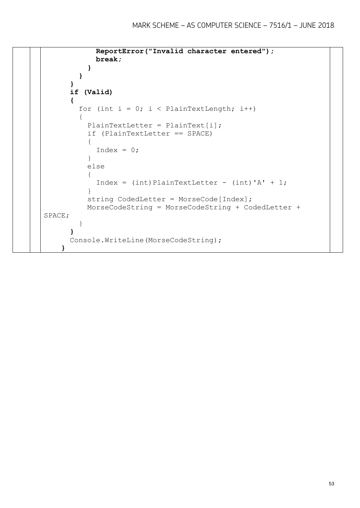```
 ReportError("Invalid character entered");
           break;
 }
        }
      }
      if (Valid)
      {
       for (int i = 0; i < PlainTextLength; i++)
\{ PlainTextLetter = PlainText[i];
          if (PlainTextLetter == SPACE)
 {
          Index = 0; }
          else
 {
           Index = (int)PlainTextLetter - (int)' + 1; }
         string CodedLetter = MorseCode[Index];
          MorseCodeString = MorseCodeString + CodedLetter + 
SPACE;
 } 
      }
      Console.WriteLine(MorseCodeString);
    }
```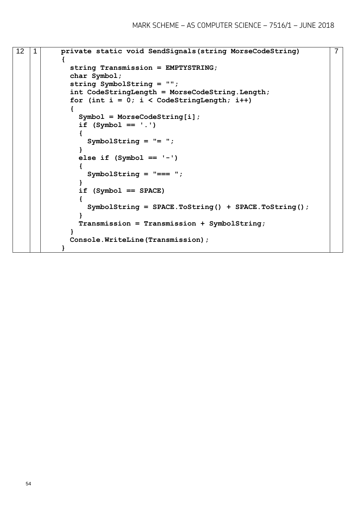```
12 1 private static void SendSignals(string MorseCodeString)
           {
             string Transmission = EMPTYSTRING; 
             char Symbol;
             string SymbolString = "";
             int CodeStringLength = MorseCodeString.Length;
             for (int i = 0; i < CodeStringLength; i++)
             {
               Symbol = MorseCodeString[i];
               if (Symbol == '.')
       {
                 SymbolString = "= ";
               }
               else if (Symbol == '-')
       {
                 SymbolString = "=== ";
       }
               if (Symbol == SPACE)
       {
                 SymbolString = SPACE.ToString() + SPACE.ToString();
       }
               Transmission = Transmission + SymbolString;
             }
             Console.WriteLine(Transmission);
           }
                                                                         7
```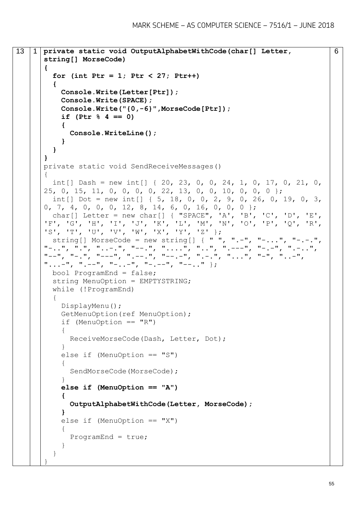```
13 1 private static void OutputAlphabetWithCode(char[] Letter, 
      string[] MorseCode)
       {
         for (int Ptr = 1; Ptr < 27; Ptr++)
          {
            Console.Write(Letter[Ptr]);
            Console.Write(SPACE);
            Console.Write("{0,-6}",MorseCode[Ptr]);
            if (Ptr % 4 == 0)
            {
              Console.WriteLine();
            }
         }
       }
      private static void SendReceiveMessages()
      {
         int[] Dash = new int[] { 20, 23, 0, 0, 24, 1, 0, 17, 0, 21, 0, 
      25, 0, 15, 11, 0, 0, 0, 0, 22, 13, 0, 0, 10, 0, 0, 0 };
         int[] Dot = new int[] { 5, 18, 0, 0, 2, 9, 0, 26, 0, 19, 0, 3,
      0, 7, 4, 0, 0, 0, 12, 8, 14, 6, 0, 16, 0, 0, 0 };
         char[] Letter = new char[] { "SPACE", 'A', 'B', 'C', 'D', 'E', 
       'F', 'G', 'H', 'I', 'J', 'K', 'L', 'M', 'N', 'O', 'P', 'Q', 'R', 
       'S', 'T', 'U', 'V', 'W', 'X', 'Y', 'Z' };
         string[] MorseCode = new string[] { " ", ".-", "-...", "-.-.",
      "-..", ".", "..-.", "--.", "....", "..", ".---", "-.-", ".-..", 
       "--", "--", "---", "---", ", ---", "--..., ", "---", ", "..., ", "---", ", ---", ""...-", ".--", "-..-", "-.--", "--.." };
         bool ProgramEnd = false;
        string MenuOption = EMPTYSTRING;
         while (!ProgramEnd)
          {
            DisplayMenu();
            GetMenuOption(ref MenuOption);
           if (MenuOption == "R") {
              ReceiveMorseCode(Dash, Letter, Dot);
            }
            else if (MenuOption == "S")
            {
              SendMorseCode(MorseCode);
            }
            else if (MenuOption == "A")
            {
              OutputAlphabetWithCode(Letter, MorseCode);
            }
           else if (MenuOption == "X")\left\{\begin{array}{ccc} \end{array}\right\} ProgramEnd = true;
            }
          }
       }
```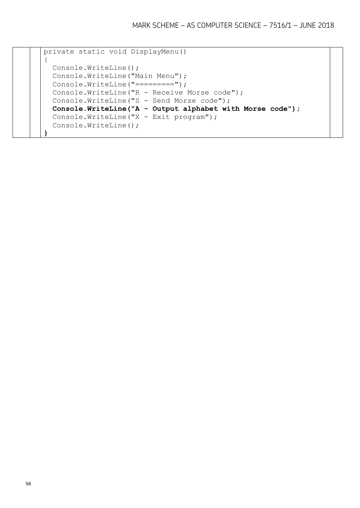```
private static void DisplayMenu()
{
   Console.WriteLine();
   Console.WriteLine("Main Menu");
  Console.WriteLine("=========");
   Console.WriteLine("R - Receive Morse code");
   Console.WriteLine("S - Send Morse code");
   Console.WriteLine("A - Output alphabet with Morse code");
   Console.WriteLine("X - Exit program");
   Console.WriteLine();
}
```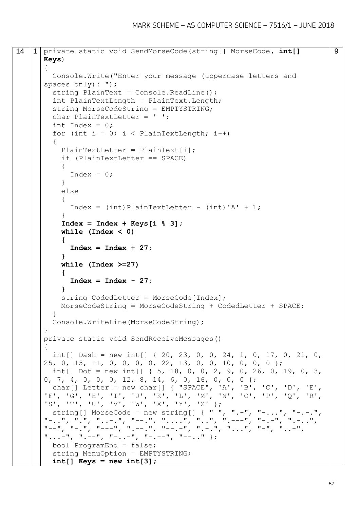```
14 1 private static void SendMorseCode(string[] MorseCode, int[] 
      Keys)
      {
         Console.Write("Enter your message (uppercase letters and 
      spaces only): ");
        string PlainText = Console. ReadLine();
         int PlainTextLength = PlainText.Length;
         string MorseCodeString = EMPTYSTRING;
         char PlainTextLetter = ' ';
        int Index = 0;
        for (int i = 0; i < PlainTextLength; i++)
      \{PlainTextLetter = PlainText[i];
           if (PlainTextLetter == SPACE)
           {
            Index = 0;
           }
           else
       {
            Index = (int)PlainTextLetter - (int)' + 1;
           }
           Index = Index + Keys[i % 3];
           while (Index < 0)
           {
             Index = Index + 27;
           }
           while (Index >=27)
            {
             Index = Index - 27;
           }
          string CodedLetter = MorseCode[Index];
           MorseCodeString = MorseCodeString + CodedLetter + SPACE;
         }
         Console.WriteLine(MorseCodeString);
      }
      private static void SendReceiveMessages()
      {
        int[] Dash = new int[] { 20, 23, 0, 0, 24, 1, 0, 17, 0, 21, 0,
      25, 0, 15, 11, 0, 0, 0, 0, 22, 13, 0, 0, 10, 0, 0, 0 };
         int[] Dot = new int[] { 5, 18, 0, 0, 2, 9, 0, 26, 0, 19, 0, 3, 
      0, 7, 4, 0, 0, 0, 12, 8, 14, 6, 0, 16, 0, 0, 0 };
         char[] Letter = new char[] { "SPACE", 'A', 'B', 'C', 'D', 'E', 
      'F', 'G', 'H', 'I', 'J', 'K', 'L', 'M', 'N', 'O', 'P', 'Q', 'R', 
      'S', 'T', 'U', 'V', 'W', 'X', 'Y', 'Z' };
        string[] MorseCode = new string[] { " ", ".-", "-...", "-.-.",
      "-..", ".", "..-.", "--.", "....", "..", ".---", "-.-", ".-..", 
      "--", "-.", "---", ".---", "-.", "---", ", "---", ", "-.", "...", "---", "...", "...",
      "...--", "...--", "-.--", "-.--", "--..." bool ProgramEnd = false;
        string MenuOption = EMPTYSTRING;
         int[] Keys = new int[3];
```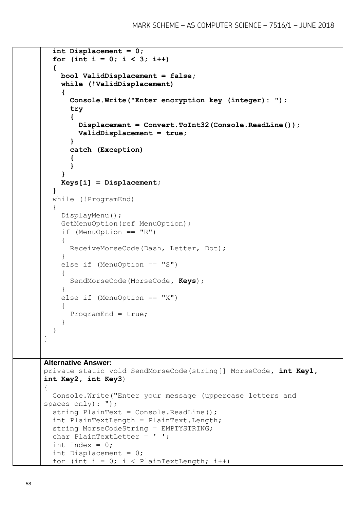```
 int Displacement = 0;
  for (int i = 0; i < 3; i++)
   {
     bool ValidDisplacement = false;
     while (!ValidDisplacement)
     {
       Console.Write("Enter encryption key (integer): ");
       try
       {
          Displacement = Convert.ToInt32(Console.ReadLine());
         ValidDisplacement = true;
       }
       catch (Exception)
\bf{f} }
     }
     Keys[i] = Displacement;
   }
   while (!ProgramEnd)
   {
     DisplayMenu();
     GetMenuOption(ref MenuOption);
     if (MenuOption == "R")
     {
       ReceiveMorseCode(Dash, Letter, Dot);
     }
     else if (MenuOption == "S")
     {
       SendMorseCode(MorseCode, Keys);
     }
    else if (MenuOption == "X")\left\{\begin{array}{ccc} \end{array}\right\} ProgramEnd = true;
 }
   }
}
Alternative Answer:
private static void SendMorseCode(string[] MorseCode, int Key1, 
int Key2, int Key3)
{
   Console.Write("Enter your message (uppercase letters and 
spaces only): ");
  string PlainText = Console. ReadLine();
   int PlainTextLength = PlainText.Length;
   string MorseCodeString = EMPTYSTRING;
  char PlainTextLetter = ' ';
  int Index = 0;
   int Displacement = 0;
  for (int i = 0; i < PlainTextLength; i++)
```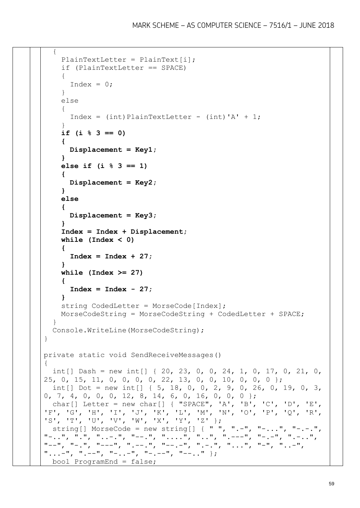```
\{ PlainTextLetter = PlainText[i];
     if (PlainTextLetter == SPACE)
     {
      Index = 0;
     }
     else
 {
      Index = (int)PlainTextLetter - (int)' + 1; }
     if (i % 3 == 0)
     {
       Displacement = Key1;
     }
     else if (i % 3 == 1)
     {
       Displacement = Key2;
     }
     else
     {
       Displacement = Key3;
     }
     Index = Index + Displacement;
     while (Index < 0)
     {
       Index = Index + 27;
     }
     while (Index >= 27)
     {
       Index = Index - 27;
     }
    string CodedLetter = MorseCode[Index];
     MorseCodeString = MorseCodeString + CodedLetter + SPACE;
 }
   Console.WriteLine(MorseCodeString);
}
private static void SendReceiveMessages()
{
  int[] Dash = new int[] { 20, 23, 0, 0, 24, 1, 0, 17, 0, 21, 0,
25, 0, 15, 11, 0, 0, 0, 0, 22, 13, 0, 0, 10, 0, 0, 0 };
 int[] Dot = new int[] \{5, 18, 0, 0, 2, 9, 0, 26, 0, 19, 0, 3,0, 7, 4, 0, 0, 0, 12, 8, 14, 6, 0, 16, 0, 0, 0 };
   char[] Letter = new char[] { "SPACE", 'A', 'B', 'C', 'D', 'E', 
'F', 'G', 'H', 'I', 'J', 'K', 'L', 'M', 'N', 'O', 'P', 'Q', 'R', 
'S', 'T', 'U', 'V', 'W', 'X', 'Y', 'Z' };
 string[] MorseCode = new string[] \{ " ", ".-", "-...", "-.-.",
"-..", ".", "..-.", "--.", "....", "..", ".---", "-.-", ".-..", 
"--", "-.", "---", ".---", ".---", "-., "-., ", "-., ", "..", "...", "...", "...", "...""...--", ".--", "-..-", "-.--", "--.." };
  bool ProgramEnd = false;
```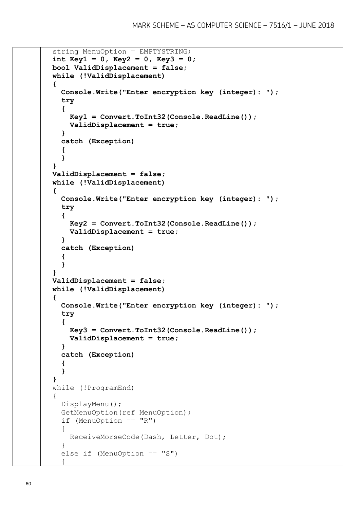```
 string MenuOption = EMPTYSTRING;
  int Key1 = 0, Key2 = 0, Key3 = 0;
  bool ValidDisplacement = false;
  while (!ValidDisplacement)
   {
     Console.Write("Enter encryption key (integer): ");
     try
     {
       Key1 = Convert.ToInt32(Console.ReadLine());
       ValidDisplacement = true;
     }
     catch (Exception)
     {
     }
   }
  ValidDisplacement = false;
  while (!ValidDisplacement)
   {
     Console.Write("Enter encryption key (integer): ");
     try
     {
       Key2 = Convert.ToInt32(Console.ReadLine());
       ValidDisplacement = true;
     }
     catch (Exception)
     {
     }
   }
  ValidDisplacement = false;
  while (!ValidDisplacement)
   {
     Console.Write("Enter encryption key (integer): ");
     try
     {
       Key3 = Convert.ToInt32(Console.ReadLine());
       ValidDisplacement = true;
     }
     catch (Exception)
     {
     }
   }
  while (!ProgramEnd)
\{ DisplayMenu();
     GetMenuOption(ref MenuOption);
    if (MenuOption == "R") {
       ReceiveMorseCode(Dash, Letter, Dot);
     }
    else if (MenuOption == "S")\left\{\begin{array}{ccc} \end{array}\right\}
```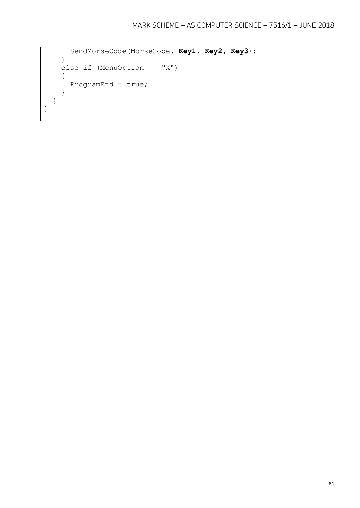```
SendMorseCode(MorseCode, Key1, Key2, Key3);
     }
    else if (MenuOption == "X") {
      ProgramEnd = true;
     }
   }
}
```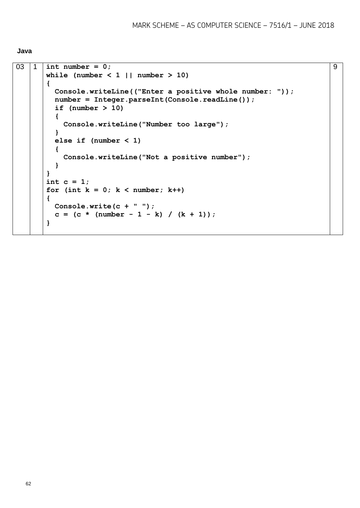```
Java
```

```
03 1 int number = 0;
       while (number < 1 || number > 10)
       {
          Console.writeLine(("Enter a positive whole number: "));
          number = Integer.parseInt(Console.readLine());
          if (number > 10)
          {
            Console.writeLine("Number too large");
          }
          else if (number < 1)
          {
            Console.writeLine("Not a positive number");
          }
       }
       int c = 1;
       for (int k = 0; k < number; k++)
       {
          Console.write(c + " ");
         c = (c * (number - 1 - k) / (k + 1));}
```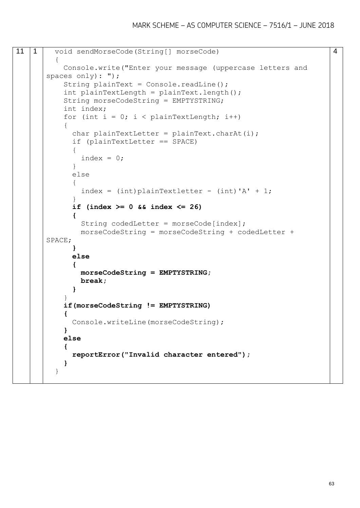```
11 | 1 | void sendMorseCode(String[] morseCode)
          {
            Console.write("Enter your message (uppercase letters and 
       spaces only): ");
           String plainText = Console.readLine();
            int plainTextLength = plainText.length();
            String morseCodeString = EMPTYSTRING;
            int index;
           for (int i = 0; i < plainTextLength; i++)
            {
             char plainTextLetter = plainText.charAt(i);
              if (plainTextLetter == SPACE)
       \{index = 0;
        }
              else
       \{index = (int) plainTextletter - (int)' + 1; }
              if (index >= 0 && index <= 26)
              {
               String codedLetter = morseCode[index];
                morseCodeString = morseCodeString + codedLetter + 
       SPACE;
              }
              else
        {
                morseCodeString = EMPTYSTRING;
                break;
              }
        }
            if(morseCodeString != EMPTYSTRING)
            {
              Console.writeLine(morseCodeString);
            }
            else
            {
              reportError("Invalid character entered");
            }
          }
```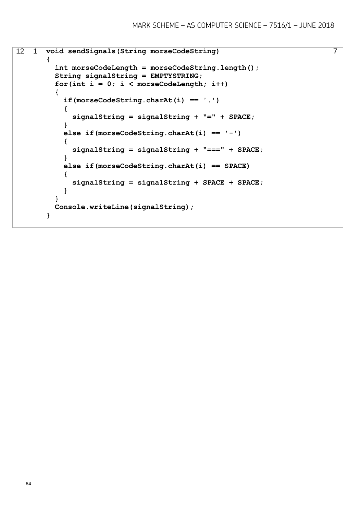```
12 1 void sendSignals(String morseCodeString)
       {
          int morseCodeLength = morseCodeString.length();
          String signalString = EMPTYSTRING;
         for(int i = 0; i < morseCodeLength; i+1)
          {
            if(morseCodeString.charAt(i) == '.')
            {
              signalString = signalString + "=" + SPACE;
            }
            else if(morseCodeString.charAt(i) == '-')
            {
              signalString = signalString + "===" + SPACE;
            }
            else if(morseCodeString.charAt(i) == SPACE)
            {
              signalString = signalString + SPACE + SPACE;
            }
          }
          Console.writeLine(signalString);
       }
```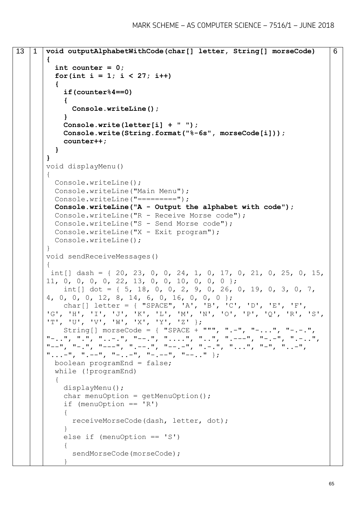```
13 1 void outputAlphabetWithCode(char[] letter, String[] morseCode)
       {
          int counter = 0;
         for(int i = 1; i < 27; i++) {
            if(counter%4==0)
            {
              Console.writeLine();
            }
            Console.write(letter[i] + " ");
            Console.write(String.format("%-6s", morseCode[i]));
            counter++;
          }
       }
       void displayMenu()
       {
          Console.writeLine();
          Console.writeLine("Main Menu");
         Console.writeLine("=========");
          Console.writeLine("A - Output the alphabet with code");
          Console.writeLine("R - Receive Morse code");
          Console.writeLine("S - Send Morse code");
          Console.writeLine("X - Exit program");
          Console.writeLine();
       }
       void sendReceiveMessages()
       {
       int[] dash = { 20, 23, 0, 0, 24, 1, 0, 17, 0, 21, 0, 25, 0, 15,
       11, 0, 0, 0, 0, 22, 13, 0, 0, 10, 0, 0, 0 };
           int [ dot = \{5, 18, 0, 0, 2, 9, 0, 26, 0, 19, 0, 3, 0, 7,4, 0, 0, 0, 12, 8, 14, 6, 0, 16, 0, 0, 0 };
            char[] letter = { "SPACE", 'A', 'B', 'C', 'D', 'E', 'F', 
       'G', 'H', 'I', 'J', 'K', 'L', 'M', 'N', 'O', 'P', 'Q', 'R', 'S', 
       'T', 'U', 'V', 'W', 'X', 'Y', 'Z' };
            String[] morseCode = { "SPACE + """, ".-", "-...", "-.-.", 
       "-..", ".", "..-.", "--.", "....", "..", ".---", "-.-", ".-..", 
       "--", "-.", "---", ".--.", "--.-", ".-.", "...", "-", "..-", 
       "...--", "...--", "-.--", "-.--", "---", "---..." };
          boolean programEnd = false;
          while (!programEnd)
          {
            displayMenu(); 
           char menuOption = qetMenuOption();
           if (menuOption == 'R') {
              receiveMorseCode(dash, letter, dot);
            }
            else if (menuOption == 'S')
            {
              sendMorseCode(morseCode);
        }
```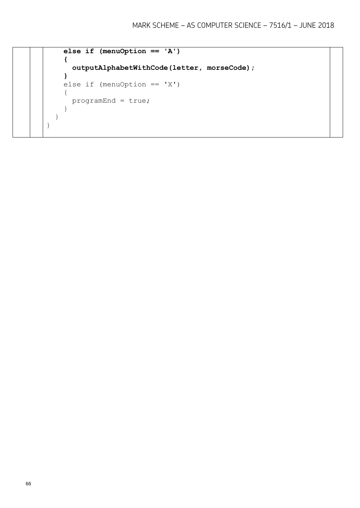```
 else if (menuOption == 'A')
     {
       outputAlphabetWithCode(letter, morseCode);
     }
     else if (menuOption == 'X')
     {
       programEnd = true;
     }
   }
}
```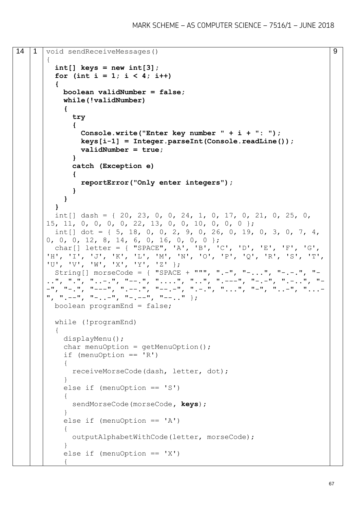```
14 1 void sendReceiveMessages()
       {
          int[] keys = new int[3];
         for (int i = 1; i < 4; i++) {
            boolean validNumber = false;
            while(!validNumber)
            {
              try 
               {
                 Console.write("Enter key number " + i + ": ");
                keys[i-1] = Integer.parseInt(Console.readLine());
                validNumber = true;
               } 
               catch (Exception e) 
        {
                 reportError("Only enter integers");
               }
            }
          } 
         int[] dash = { 20, 23, 0, 0, 24, 1, 0, 17, 0, 21, 0, 25, 0,
       15, 11, 0, 0, 0, 0, 22, 13, 0, 0, 10, 0, 0, 0 };
         int [ dot = \{ 5, 18, 0, 0, 2, 9, 0, 26, 0, 19, 0, 3, 0, 7, 4,0, 0, 0, 12, 8, 14, 6, 0, 16, 0, 0, 0 };
          char[] letter = { "SPACE", 'A', 'B', 'C', 'D', 'E', 'F', 'G', 
       'H', 'I', 'J', 'K', 'L', 'M', 'N', 'O', 'P', 'Q', 'R', 'S', 'T', 
       'U', 'V', 'W', 'X', 'Y', 'Z' };
          String[] morseCode = { "SPACE + """, ".-", "-...", "-.-.", "-
       ..", ".", "..-.", "--.", "....", "..", ".---", "-.-", ".-..", "-
       -", "-.", "---", ".--.", "--.-", ".-.", "...", "-", "..-", "...-
       ", ",--",' "-, -"\," "-, -"\," "-, -"\," "--..." ; boolean programEnd = false;
          while (!programEnd)
          {
            displayMenu(); 
           char menuOption = qetMenuOption();
           if (menuOption == 'R') {
              receiveMorseCode(dash, letter, dot);
            }
            else if (menuOption == 'S')
            {
              sendMorseCode(morseCode, keys);
            }
           else if (menuOption == 'A') {
              outputAlphabetWithCode(letter, morseCode);
            }
           else if (menuOption == 'X')\left\{\begin{array}{ccc} \end{array}\right\}
```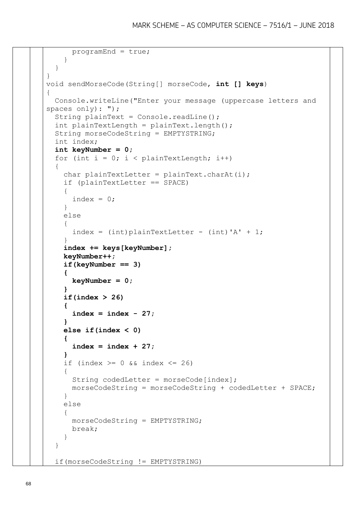```
 programEnd = true;
     }
   }
}
void sendMorseCode(String[] morseCode, int [] keys)
{
   Console.writeLine("Enter your message (uppercase letters and 
spaces only): ");
  String plainText = Console.readLine();
   int plainTextLength = plainText.length();
   String morseCodeString = EMPTYSTRING;
   int index;
   int keyNumber = 0;
  for (int i = 0; i < plainTextLength; i++)
   {
    char plainTextLetter = plainText.charAt(i);
     if (plainTextLetter == SPACE)
     {
      index = 0;
     }
     else
     {
      index = (int)plainTextLetter - (int)' + 1;
 }
     index += keys[keyNumber];
     keyNumber++;
     if(keyNumber == 3)
     {
       keyNumber = 0;
     }
     if(index > 26)
     {
       index = index - 27;
     }
     else if(index < 0)
     {
       index = index + 27;
     }
    if (index >= 0 && index <= 26)
     {
      String codedLetter = morseCode[index];
       morseCodeString = morseCodeString + codedLetter + SPACE;
     }
     else
     {
       morseCodeString = EMPTYSTRING;
       break;
     }
   }
   if(morseCodeString != EMPTYSTRING)
```